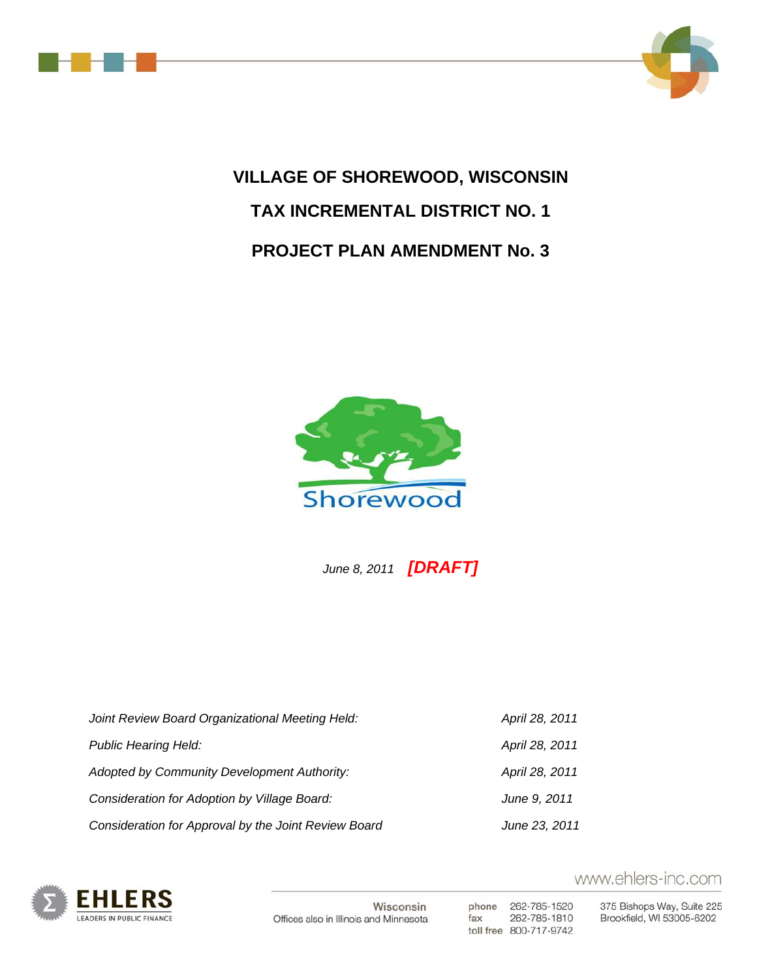



# **VILLAGE OF SHOREWOOD, WISCONSIN TAX INCREMENTAL DISTRICT NO. 1 PROJECT PLAN AMENDMENT No. 3**



 *June 8, 2011 [DRAFT]*

| Joint Review Board Organizational Meeting Held:      | April 28, 2011 |
|------------------------------------------------------|----------------|
| <b>Public Hearing Held:</b>                          | April 28, 2011 |
| Adopted by Community Development Authority:          | April 28, 2011 |
| Consideration for Adoption by Village Board:         | June 9, 2011   |
| Consideration for Approval by the Joint Review Board | June 23, 2011  |



Wisconsin Offices also in Illinois and Minnesota

phone 262-785-1520 262-785-1810 fax toll free 800-717-9742

www.ehlers-inc.com

375 Bishops Way, Suite 225 Brookfield, WI 53005-6202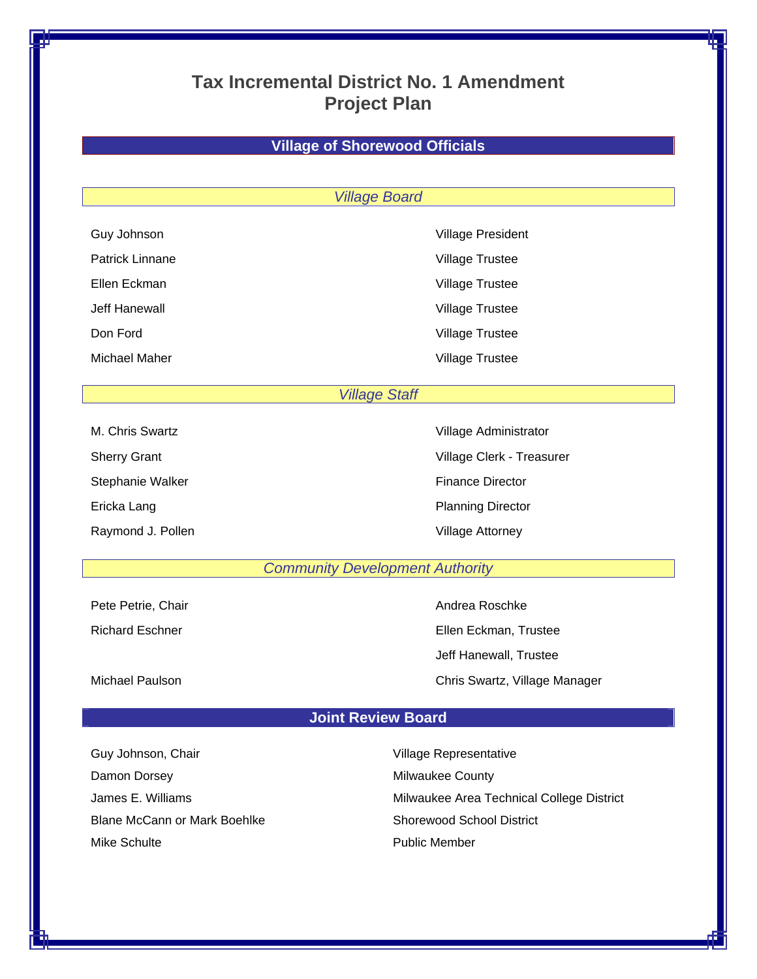# **Tax Incremental District No. 1 Amendment Project Plan**

# **Village of Shorewood Officials**

## *Village Board*

| <b>OUT JUILIOUI</b>    |  |  |  |  |  |  |  |  |  |  |  |
|------------------------|--|--|--|--|--|--|--|--|--|--|--|
| <b>Patrick Linnane</b> |  |  |  |  |  |  |  |  |  |  |  |
| Ellen Eckman           |  |  |  |  |  |  |  |  |  |  |  |
| Jeff Hanewall          |  |  |  |  |  |  |  |  |  |  |  |
| Don Ford               |  |  |  |  |  |  |  |  |  |  |  |
|                        |  |  |  |  |  |  |  |  |  |  |  |

Guy Johnson Village President Village Trustee Village Trustee Village Trustee Village Trustee Michael Maher **Village Trustee** 

# *Village Staff*

| M. Chris Swartz     |
|---------------------|
| <b>Sherry Grant</b> |
| Stephanie Walker    |
| Ericka Lang         |
| Raymond J. Poller   |

Village Administrator Village Clerk - Treasurer Finance Director Planning Director n and J. Pollen Village Attorney

# *Community Development Authority*

Pete Petrie, Chair **Andrea Roschke** Petrie, Chair

Richard Eschner **Ellen Eckman, Trustee**  Jeff Hanewall, Trustee Michael Paulson Chris Swartz, Village Manager

# **Joint Review Board**

Guy Johnson, Chair **Village Representative** Damon Dorsey **Milwaukee County** Blane McCann or Mark Boehlke Shorewood School District Mike Schulte **All Accords** Public Member

James E. Williams **Milwaukee Area Technical College District**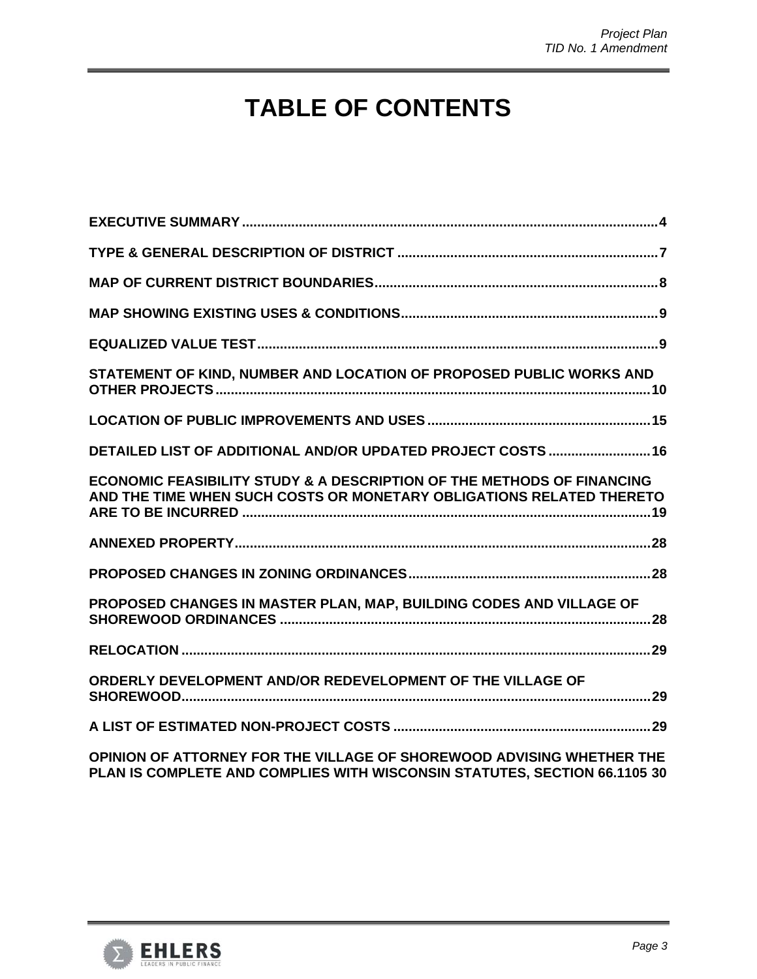# **TABLE OF CONTENTS**

| STATEMENT OF KIND, NUMBER AND LOCATION OF PROPOSED PUBLIC WORKS AND                                                                                       |
|-----------------------------------------------------------------------------------------------------------------------------------------------------------|
|                                                                                                                                                           |
| DETAILED LIST OF ADDITIONAL AND/OR UPDATED PROJECT COSTS  16                                                                                              |
| <b>ECONOMIC FEASIBILITY STUDY &amp; A DESCRIPTION OF THE METHODS OF FINANCING</b><br>AND THE TIME WHEN SUCH COSTS OR MONETARY OBLIGATIONS RELATED THERETO |
|                                                                                                                                                           |
|                                                                                                                                                           |
| PROPOSED CHANGES IN MASTER PLAN, MAP, BUILDING CODES AND VILLAGE OF                                                                                       |
|                                                                                                                                                           |
| ORDERLY DEVELOPMENT AND/OR REDEVELOPMENT OF THE VILLAGE OF                                                                                                |
|                                                                                                                                                           |
| OPINION OF ATTORNEY FOR THE VILLAGE OF SHOREWOOD ADVISING WHETHER THE<br>PLAN IS COMPLETE AND COMPLIES WITH WISCONSIN STATUTES, SECTION 66.1105 30        |

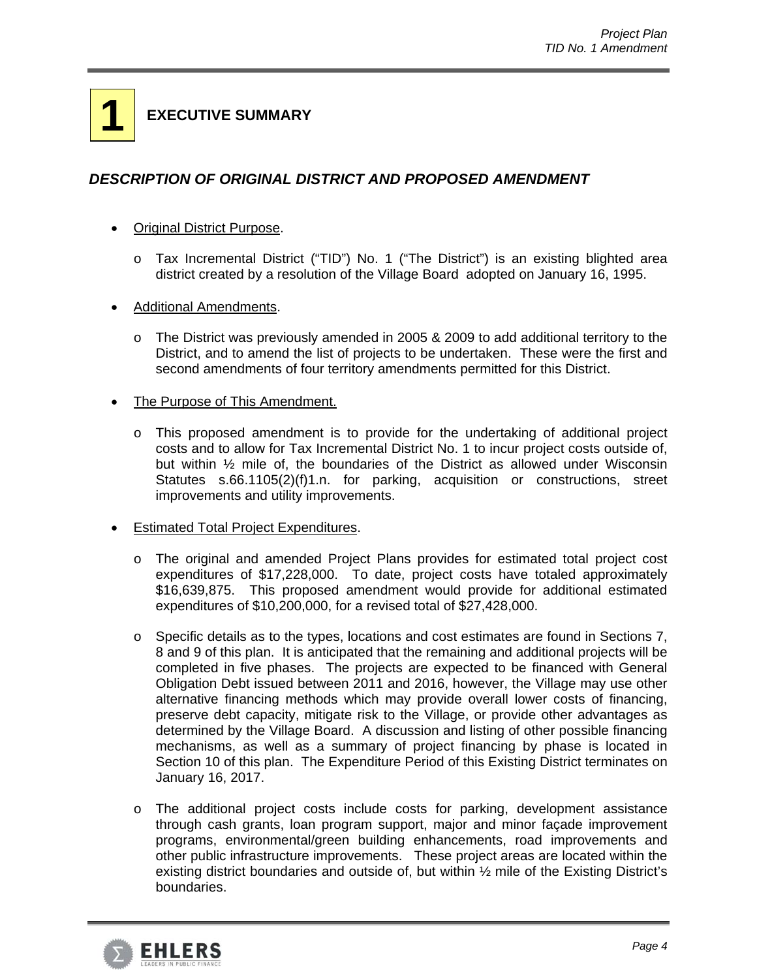# **1 EXECUTIVE SUMMARY**

# *DESCRIPTION OF ORIGINAL DISTRICT AND PROPOSED AMENDMENT*

- Original District Purpose.
	- o Tax Incremental District ("TID") No. 1 ("The District") is an existing blighted area district created by a resolution of the Village Board adopted on January 16, 1995.
- Additional Amendments.
	- o The District was previously amended in 2005 & 2009 to add additional territory to the District, and to amend the list of projects to be undertaken. These were the first and second amendments of four territory amendments permitted for this District.
- The Purpose of This Amendment.
	- $\circ$  This proposed amendment is to provide for the undertaking of additional project costs and to allow for Tax Incremental District No. 1 to incur project costs outside of, but within ½ mile of, the boundaries of the District as allowed under Wisconsin Statutes s.66.1105(2)(f)1.n. for parking, acquisition or constructions, street improvements and utility improvements.
- Estimated Total Project Expenditures.
	- o The original and amended Project Plans provides for estimated total project cost expenditures of \$17,228,000. To date, project costs have totaled approximately \$16,639,875. This proposed amendment would provide for additional estimated expenditures of \$10,200,000, for a revised total of \$27,428,000.
	- o Specific details as to the types, locations and cost estimates are found in Sections 7, 8 and 9 of this plan. It is anticipated that the remaining and additional projects will be completed in five phases. The projects are expected to be financed with General Obligation Debt issued between 2011 and 2016, however, the Village may use other alternative financing methods which may provide overall lower costs of financing, preserve debt capacity, mitigate risk to the Village, or provide other advantages as determined by the Village Board. A discussion and listing of other possible financing mechanisms, as well as a summary of project financing by phase is located in Section 10 of this plan. The Expenditure Period of this Existing District terminates on January 16, 2017.
	- o The additional project costs include costs for parking, development assistance through cash grants, loan program support, major and minor façade improvement programs, environmental/green building enhancements, road improvements and other public infrastructure improvements. These project areas are located within the existing district boundaries and outside of, but within ½ mile of the Existing District's boundaries.

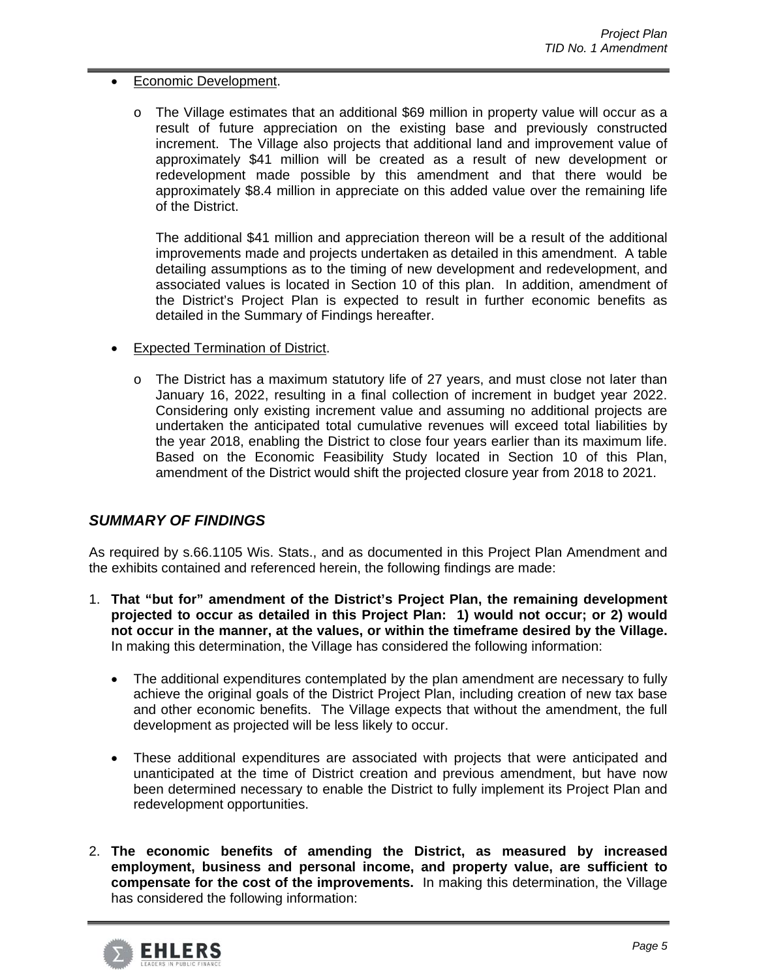## Economic Development.

o The Village estimates that an additional \$69 million in property value will occur as a result of future appreciation on the existing base and previously constructed increment. The Village also projects that additional land and improvement value of approximately \$41 million will be created as a result of new development or redevelopment made possible by this amendment and that there would be approximately \$8.4 million in appreciate on this added value over the remaining life of the District.

The additional \$41 million and appreciation thereon will be a result of the additional improvements made and projects undertaken as detailed in this amendment. A table detailing assumptions as to the timing of new development and redevelopment, and associated values is located in Section 10 of this plan. In addition, amendment of the District's Project Plan is expected to result in further economic benefits as detailed in the Summary of Findings hereafter.

- Expected Termination of District.
	- o The District has a maximum statutory life of 27 years, and must close not later than January 16, 2022, resulting in a final collection of increment in budget year 2022. Considering only existing increment value and assuming no additional projects are undertaken the anticipated total cumulative revenues will exceed total liabilities by the year 2018, enabling the District to close four years earlier than its maximum life. Based on the Economic Feasibility Study located in Section 10 of this Plan, amendment of the District would shift the projected closure year from 2018 to 2021.

# *SUMMARY OF FINDINGS*

As required by s.66.1105 Wis. Stats., and as documented in this Project Plan Amendment and the exhibits contained and referenced herein, the following findings are made:

- 1. **That "but for" amendment of the District's Project Plan, the remaining development projected to occur as detailed in this Project Plan: 1) would not occur; or 2) would not occur in the manner, at the values, or within the timeframe desired by the Village.** In making this determination, the Village has considered the following information:
	- The additional expenditures contemplated by the plan amendment are necessary to fully achieve the original goals of the District Project Plan, including creation of new tax base and other economic benefits. The Village expects that without the amendment, the full development as projected will be less likely to occur.
	- These additional expenditures are associated with projects that were anticipated and unanticipated at the time of District creation and previous amendment, but have now been determined necessary to enable the District to fully implement its Project Plan and redevelopment opportunities.
- 2. **The economic benefits of amending the District, as measured by increased employment, business and personal income, and property value, are sufficient to compensate for the cost of the improvements.** In making this determination, the Village has considered the following information:

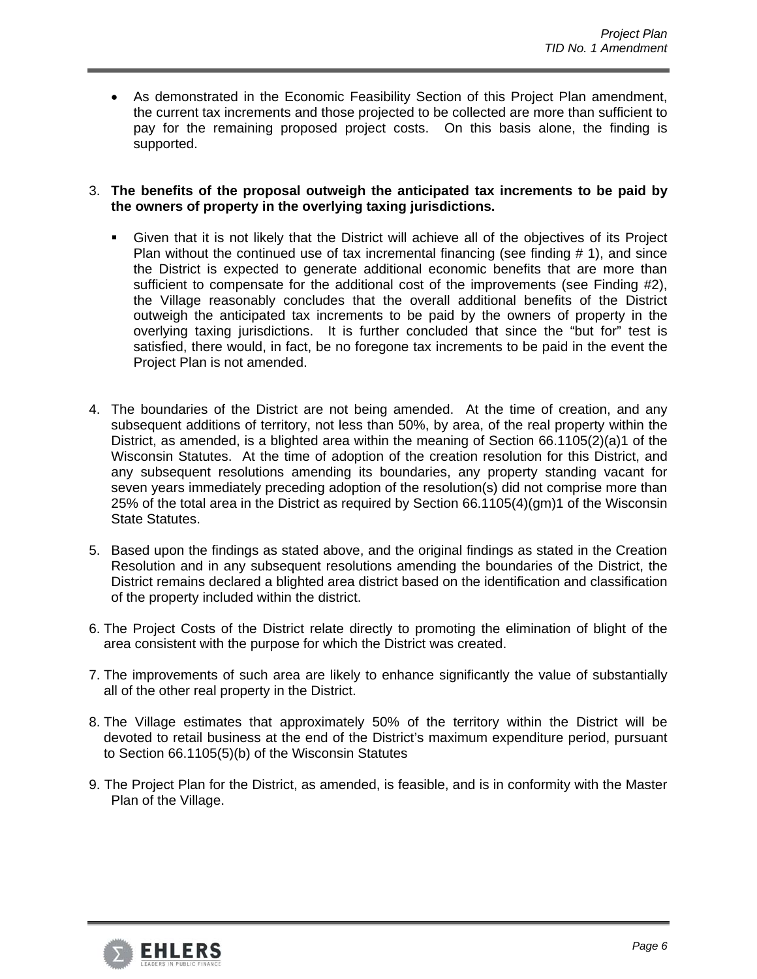As demonstrated in the Economic Feasibility Section of this Project Plan amendment, the current tax increments and those projected to be collected are more than sufficient to pay for the remaining proposed project costs. On this basis alone, the finding is supported.

3. **The benefits of the proposal outweigh the anticipated tax increments to be paid by the owners of property in the overlying taxing jurisdictions.**

- Given that it is not likely that the District will achieve all of the objectives of its Project Plan without the continued use of tax incremental financing (see finding  $# 1$ ), and since the District is expected to generate additional economic benefits that are more than sufficient to compensate for the additional cost of the improvements (see Finding #2), the Village reasonably concludes that the overall additional benefits of the District outweigh the anticipated tax increments to be paid by the owners of property in the overlying taxing jurisdictions. It is further concluded that since the "but for" test is satisfied, there would, in fact, be no foregone tax increments to be paid in the event the Project Plan is not amended.
- 4. The boundaries of the District are not being amended. At the time of creation, and any subsequent additions of territory, not less than 50%, by area, of the real property within the District, as amended, is a blighted area within the meaning of Section 66.1105(2)(a)1 of the Wisconsin Statutes. At the time of adoption of the creation resolution for this District, and any subsequent resolutions amending its boundaries, any property standing vacant for seven years immediately preceding adoption of the resolution(s) did not comprise more than 25% of the total area in the District as required by Section 66.1105(4)(gm)1 of the Wisconsin State Statutes.
- 5. Based upon the findings as stated above, and the original findings as stated in the Creation Resolution and in any subsequent resolutions amending the boundaries of the District, the District remains declared a blighted area district based on the identification and classification of the property included within the district.
- 6. The Project Costs of the District relate directly to promoting the elimination of blight of the area consistent with the purpose for which the District was created.
- 7. The improvements of such area are likely to enhance significantly the value of substantially all of the other real property in the District.
- 8. The Village estimates that approximately 50% of the territory within the District will be devoted to retail business at the end of the District's maximum expenditure period, pursuant to Section 66.1105(5)(b) of the Wisconsin Statutes
- 9. The Project Plan for the District, as amended, is feasible, and is in conformity with the Master Plan of the Village.

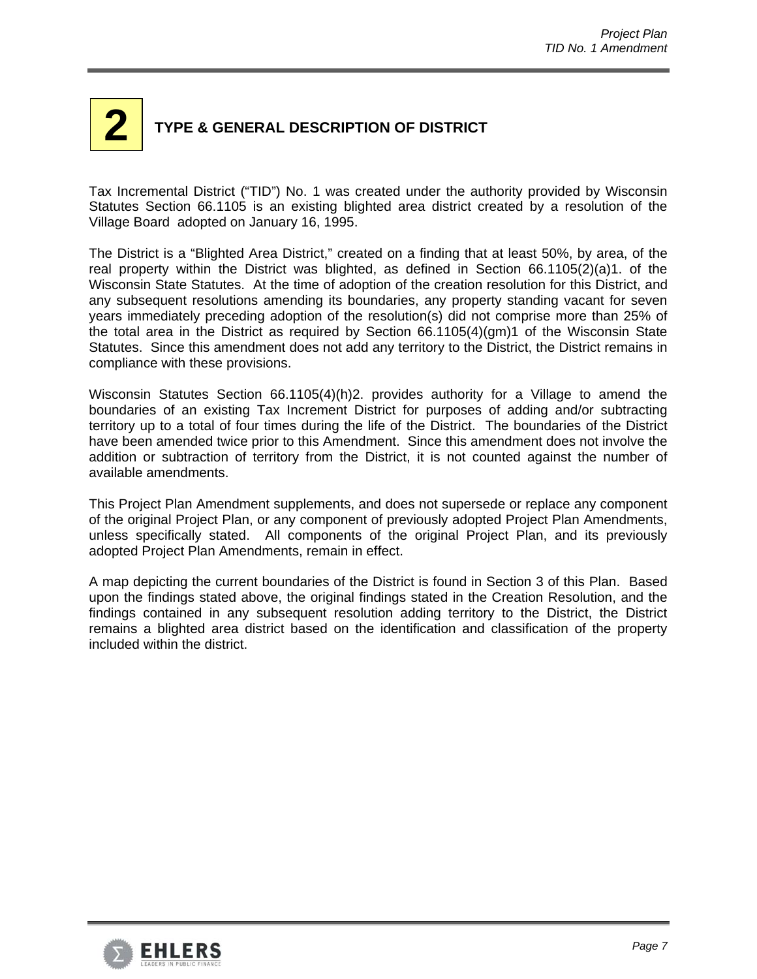# **2 TYPE & GENERAL DESCRIPTION OF DISTRICT**

Tax Incremental District ("TID") No. 1 was created under the authority provided by Wisconsin Statutes Section 66.1105 is an existing blighted area district created by a resolution of the Village Board adopted on January 16, 1995.

The District is a "Blighted Area District," created on a finding that at least 50%, by area, of the real property within the District was blighted, as defined in Section 66.1105(2)(a)1. of the Wisconsin State Statutes. At the time of adoption of the creation resolution for this District, and any subsequent resolutions amending its boundaries, any property standing vacant for seven years immediately preceding adoption of the resolution(s) did not comprise more than 25% of the total area in the District as required by Section 66.1105(4)(gm)1 of the Wisconsin State Statutes. Since this amendment does not add any territory to the District, the District remains in compliance with these provisions.

Wisconsin Statutes Section 66.1105(4)(h)2. provides authority for a Village to amend the boundaries of an existing Tax Increment District for purposes of adding and/or subtracting territory up to a total of four times during the life of the District. The boundaries of the District have been amended twice prior to this Amendment. Since this amendment does not involve the addition or subtraction of territory from the District, it is not counted against the number of available amendments.

This Project Plan Amendment supplements, and does not supersede or replace any component of the original Project Plan, or any component of previously adopted Project Plan Amendments, unless specifically stated. All components of the original Project Plan, and its previously adopted Project Plan Amendments, remain in effect.

A map depicting the current boundaries of the District is found in Section 3 of this Plan. Based upon the findings stated above, the original findings stated in the Creation Resolution, and the findings contained in any subsequent resolution adding territory to the District, the District remains a blighted area district based on the identification and classification of the property included within the district.

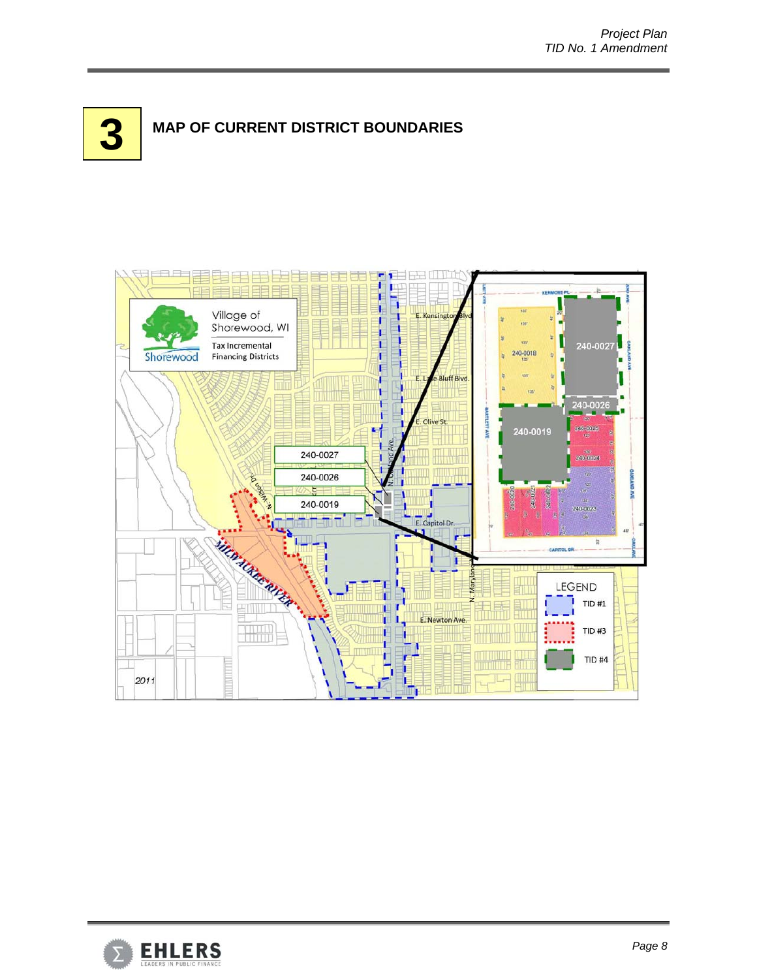



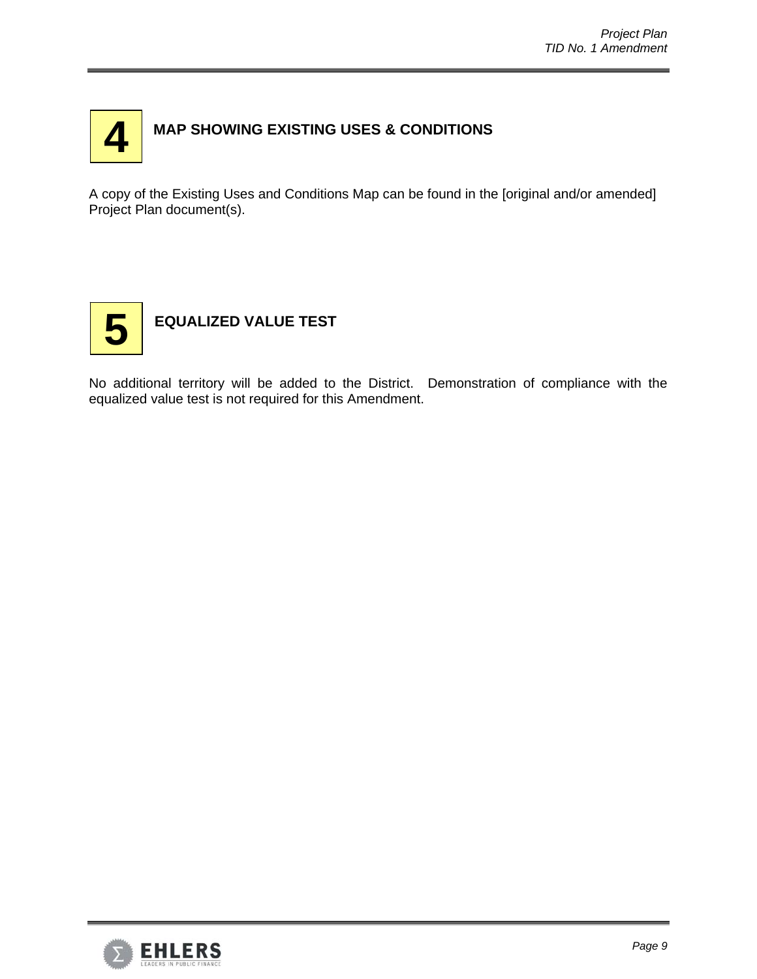

# **MAP SHOWING EXISTING USES & CONDITIONS**

A copy of the Existing Uses and Conditions Map can be found in the [original and/or amended] Project Plan document(s).



# **EQUALIZED VALUE TEST**

No additional territory will be added to the District. Demonstration of compliance with the equalized value test is not required for this Amendment.

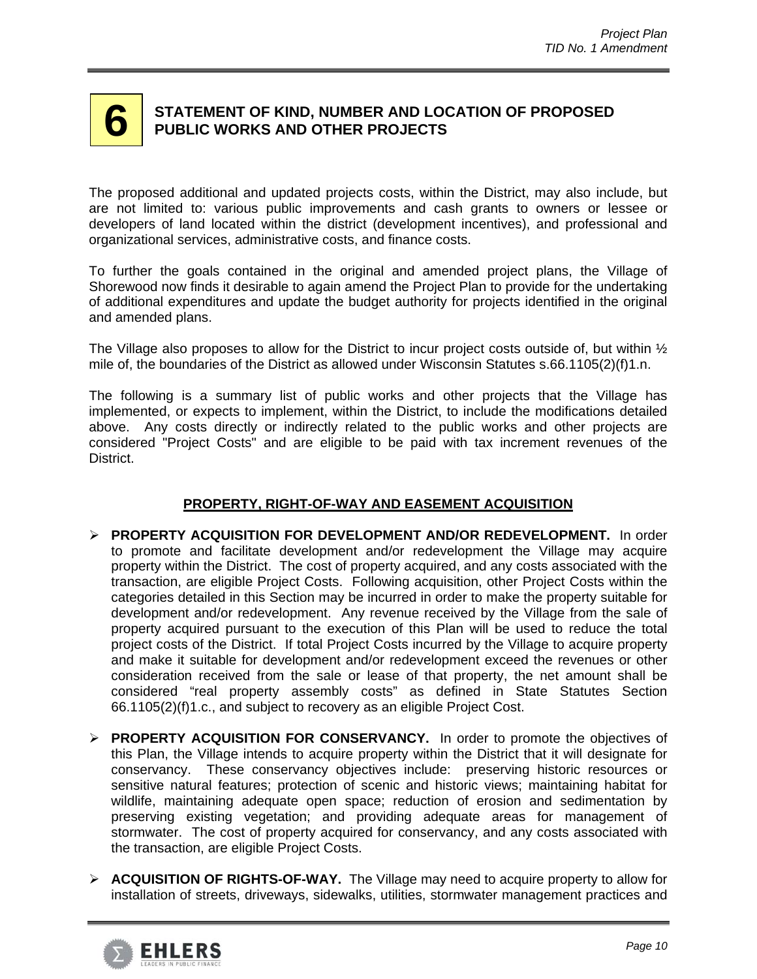# **6 STATEMENT OF KIND, NUMBER AND LOCATION OF PROPOSED PUBLIC WORKS AND OTHER PROJECTS**

The proposed additional and updated projects costs, within the District, may also include, but are not limited to: various public improvements and cash grants to owners or lessee or developers of land located within the district (development incentives), and professional and organizational services, administrative costs, and finance costs.

To further the goals contained in the original and amended project plans, the Village of Shorewood now finds it desirable to again amend the Project Plan to provide for the undertaking of additional expenditures and update the budget authority for projects identified in the original and amended plans.

The Village also proposes to allow for the District to incur project costs outside of, but within  $\frac{1}{2}$ mile of, the boundaries of the District as allowed under Wisconsin Statutes s.66.1105(2)(f)1.n.

The following is a summary list of public works and other projects that the Village has implemented, or expects to implement, within the District, to include the modifications detailed above. Any costs directly or indirectly related to the public works and other projects are considered "Project Costs" and are eligible to be paid with tax increment revenues of the District.

# **PROPERTY, RIGHT-OF-WAY AND EASEMENT ACQUISITION**

- **PROPERTY ACQUISITION FOR DEVELOPMENT AND/OR REDEVELOPMENT.** In order to promote and facilitate development and/or redevelopment the Village may acquire property within the District. The cost of property acquired, and any costs associated with the transaction, are eligible Project Costs. Following acquisition, other Project Costs within the categories detailed in this Section may be incurred in order to make the property suitable for development and/or redevelopment. Any revenue received by the Village from the sale of property acquired pursuant to the execution of this Plan will be used to reduce the total project costs of the District. If total Project Costs incurred by the Village to acquire property and make it suitable for development and/or redevelopment exceed the revenues or other consideration received from the sale or lease of that property, the net amount shall be considered "real property assembly costs" as defined in State Statutes Section 66.1105(2)(f)1.c., and subject to recovery as an eligible Project Cost.
- **PROPERTY ACQUISITION FOR CONSERVANCY.** In order to promote the objectives of this Plan, the Village intends to acquire property within the District that it will designate for conservancy. These conservancy objectives include: preserving historic resources or sensitive natural features; protection of scenic and historic views; maintaining habitat for wildlife, maintaining adequate open space; reduction of erosion and sedimentation by preserving existing vegetation; and providing adequate areas for management of stormwater. The cost of property acquired for conservancy, and any costs associated with the transaction, are eligible Project Costs.
- **ACQUISITION OF RIGHTS-OF-WAY.** The Village may need to acquire property to allow for installation of streets, driveways, sidewalks, utilities, stormwater management practices and

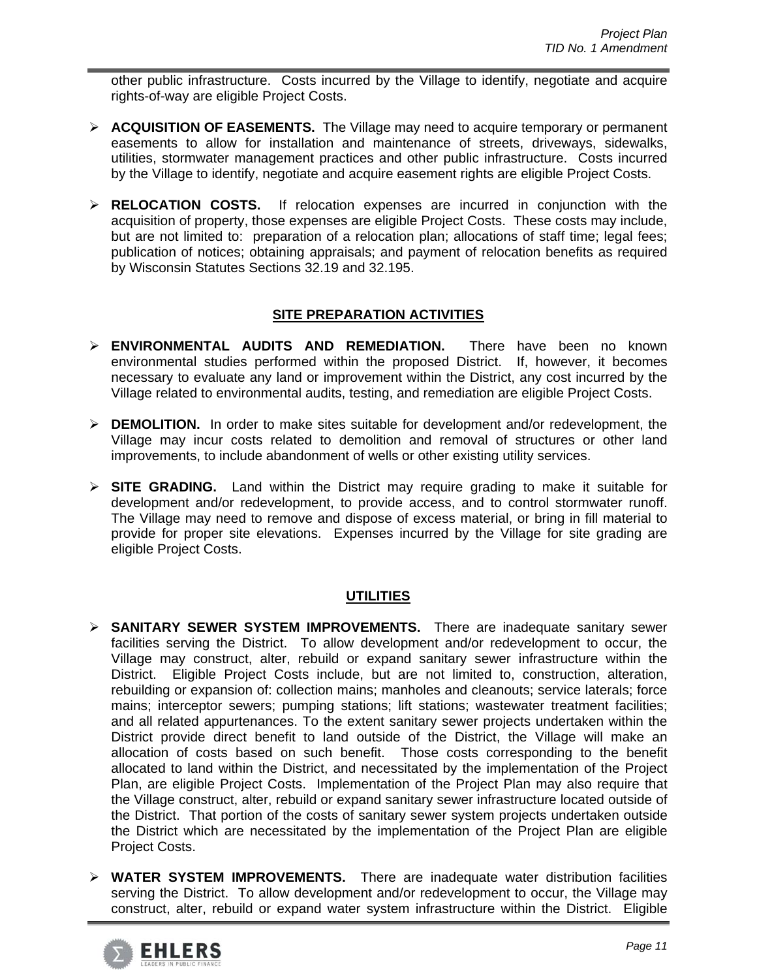other public infrastructure. Costs incurred by the Village to identify, negotiate and acquire rights-of-way are eligible Project Costs.

- **ACQUISITION OF EASEMENTS.** The Village may need to acquire temporary or permanent easements to allow for installation and maintenance of streets, driveways, sidewalks, utilities, stormwater management practices and other public infrastructure. Costs incurred by the Village to identify, negotiate and acquire easement rights are eligible Project Costs.
- **RELOCATION COSTS.** If relocation expenses are incurred in conjunction with the acquisition of property, those expenses are eligible Project Costs. These costs may include, but are not limited to: preparation of a relocation plan; allocations of staff time; legal fees; publication of notices; obtaining appraisals; and payment of relocation benefits as required by Wisconsin Statutes Sections 32.19 and 32.195.

# **SITE PREPARATION ACTIVITIES**

- **ENVIRONMENTAL AUDITS AND REMEDIATION.** There have been no known environmental studies performed within the proposed District. If, however, it becomes necessary to evaluate any land or improvement within the District, any cost incurred by the Village related to environmental audits, testing, and remediation are eligible Project Costs.
- **DEMOLITION.** In order to make sites suitable for development and/or redevelopment, the Village may incur costs related to demolition and removal of structures or other land improvements, to include abandonment of wells or other existing utility services.
- **SITE GRADING.** Land within the District may require grading to make it suitable for development and/or redevelopment, to provide access, and to control stormwater runoff. The Village may need to remove and dispose of excess material, or bring in fill material to provide for proper site elevations. Expenses incurred by the Village for site grading are eligible Project Costs.

# **UTILITIES**

- **SANITARY SEWER SYSTEM IMPROVEMENTS.** There are inadequate sanitary sewer facilities serving the District. To allow development and/or redevelopment to occur, the Village may construct, alter, rebuild or expand sanitary sewer infrastructure within the District. Eligible Project Costs include, but are not limited to, construction, alteration, rebuilding or expansion of: collection mains; manholes and cleanouts; service laterals; force mains; interceptor sewers; pumping stations; lift stations; wastewater treatment facilities; and all related appurtenances. To the extent sanitary sewer projects undertaken within the District provide direct benefit to land outside of the District, the Village will make an allocation of costs based on such benefit. Those costs corresponding to the benefit allocated to land within the District, and necessitated by the implementation of the Project Plan, are eligible Project Costs. Implementation of the Project Plan may also require that the Village construct, alter, rebuild or expand sanitary sewer infrastructure located outside of the District. That portion of the costs of sanitary sewer system projects undertaken outside the District which are necessitated by the implementation of the Project Plan are eligible Project Costs.
- **WATER SYSTEM IMPROVEMENTS.** There are inadequate water distribution facilities serving the District. To allow development and/or redevelopment to occur, the Village may construct, alter, rebuild or expand water system infrastructure within the District. Eligible

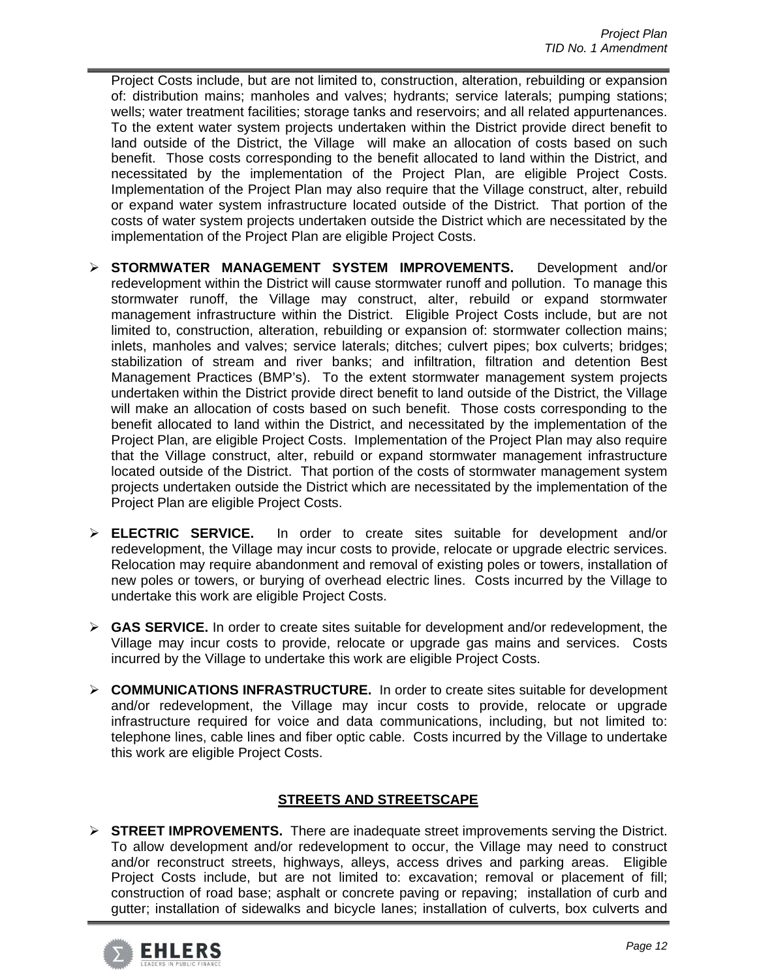Project Costs include, but are not limited to, construction, alteration, rebuilding or expansion of: distribution mains; manholes and valves; hydrants; service laterals; pumping stations; wells; water treatment facilities; storage tanks and reservoirs; and all related appurtenances. To the extent water system projects undertaken within the District provide direct benefit to land outside of the District, the Village will make an allocation of costs based on such benefit. Those costs corresponding to the benefit allocated to land within the District, and necessitated by the implementation of the Project Plan, are eligible Project Costs. Implementation of the Project Plan may also require that the Village construct, alter, rebuild or expand water system infrastructure located outside of the District. That portion of the costs of water system projects undertaken outside the District which are necessitated by the implementation of the Project Plan are eligible Project Costs.

- **STORMWATER MANAGEMENT SYSTEM IMPROVEMENTS.** Development and/or redevelopment within the District will cause stormwater runoff and pollution. To manage this stormwater runoff, the Village may construct, alter, rebuild or expand stormwater management infrastructure within the District. Eligible Project Costs include, but are not limited to, construction, alteration, rebuilding or expansion of: stormwater collection mains; inlets, manholes and valves; service laterals; ditches; culvert pipes; box culverts; bridges; stabilization of stream and river banks; and infiltration, filtration and detention Best Management Practices (BMP's). To the extent stormwater management system projects undertaken within the District provide direct benefit to land outside of the District, the Village will make an allocation of costs based on such benefit. Those costs corresponding to the benefit allocated to land within the District, and necessitated by the implementation of the Project Plan, are eligible Project Costs. Implementation of the Project Plan may also require that the Village construct, alter, rebuild or expand stormwater management infrastructure located outside of the District. That portion of the costs of stormwater management system projects undertaken outside the District which are necessitated by the implementation of the Project Plan are eligible Project Costs.
- **ELECTRIC SERVICE.** In order to create sites suitable for development and/or redevelopment, the Village may incur costs to provide, relocate or upgrade electric services. Relocation may require abandonment and removal of existing poles or towers, installation of new poles or towers, or burying of overhead electric lines. Costs incurred by the Village to undertake this work are eligible Project Costs.
- **► GAS SERVICE.** In order to create sites suitable for development and/or redevelopment, the Village may incur costs to provide, relocate or upgrade gas mains and services. Costs incurred by the Village to undertake this work are eligible Project Costs.
- **COMMUNICATIONS INFRASTRUCTURE.** In order to create sites suitable for development and/or redevelopment, the Village may incur costs to provide, relocate or upgrade infrastructure required for voice and data communications, including, but not limited to: telephone lines, cable lines and fiber optic cable. Costs incurred by the Village to undertake this work are eligible Project Costs.

# **STREETS AND STREETSCAPE**

 **STREET IMPROVEMENTS.** There are inadequate street improvements serving the District. To allow development and/or redevelopment to occur, the Village may need to construct and/or reconstruct streets, highways, alleys, access drives and parking areas. Eligible Proiect Costs include, but are not limited to: excavation; removal or placement of fill; construction of road base; asphalt or concrete paving or repaving; installation of curb and gutter; installation of sidewalks and bicycle lanes; installation of culverts, box culverts and

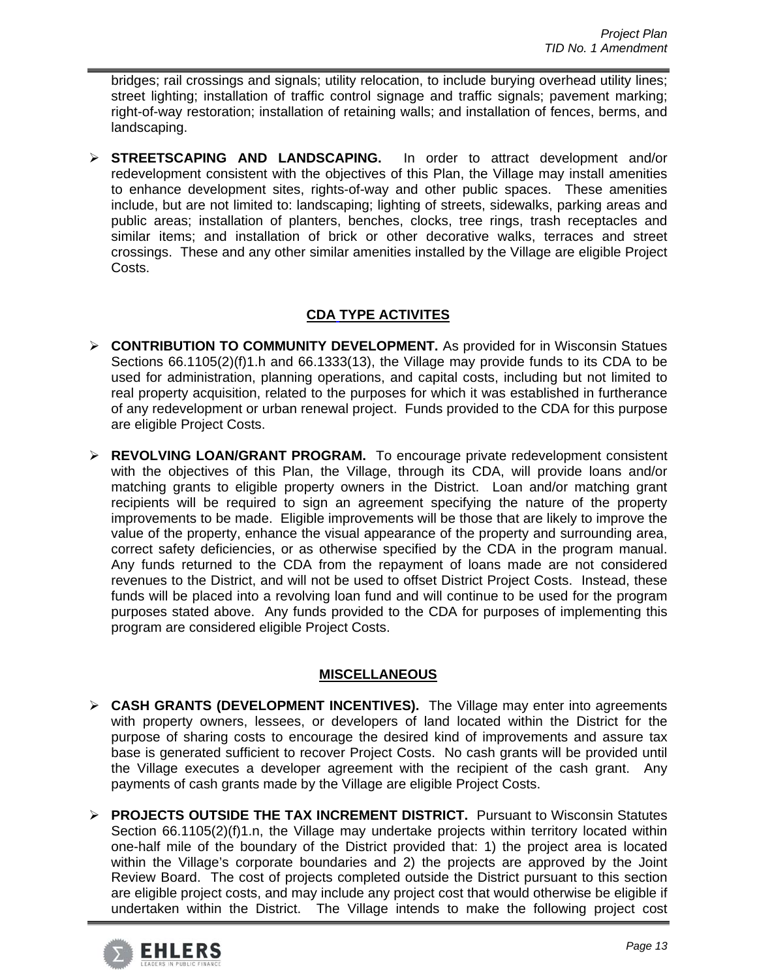bridges; rail crossings and signals; utility relocation, to include burying overhead utility lines; street lighting; installation of traffic control signage and traffic signals; pavement marking; right-of-way restoration; installation of retaining walls; and installation of fences, berms, and landscaping.

 **STREETSCAPING AND LANDSCAPING.** In order to attract development and/or redevelopment consistent with the objectives of this Plan, the Village may install amenities to enhance development sites, rights-of-way and other public spaces. These amenities include, but are not limited to: landscaping; lighting of streets, sidewalks, parking areas and public areas; installation of planters, benches, clocks, tree rings, trash receptacles and similar items; and installation of brick or other decorative walks, terraces and street crossings. These and any other similar amenities installed by the Village are eligible Project Costs.

# **CDA TYPE ACTIVITES**

- **CONTRIBUTION TO COMMUNITY DEVELOPMENT.** As provided for in Wisconsin Statues Sections 66.1105(2)(f)1.h and 66.1333(13), the Village may provide funds to its CDA to be used for administration, planning operations, and capital costs, including but not limited to real property acquisition, related to the purposes for which it was established in furtherance of any redevelopment or urban renewal project. Funds provided to the CDA for this purpose are eligible Project Costs.
- **REVOLVING LOAN/GRANT PROGRAM.** To encourage private redevelopment consistent with the objectives of this Plan, the Village, through its CDA, will provide loans and/or matching grants to eligible property owners in the District. Loan and/or matching grant recipients will be required to sign an agreement specifying the nature of the property improvements to be made. Eligible improvements will be those that are likely to improve the value of the property, enhance the visual appearance of the property and surrounding area, correct safety deficiencies, or as otherwise specified by the CDA in the program manual. Any funds returned to the CDA from the repayment of loans made are not considered revenues to the District, and will not be used to offset District Project Costs. Instead, these funds will be placed into a revolving loan fund and will continue to be used for the program purposes stated above. Any funds provided to the CDA for purposes of implementing this program are considered eligible Project Costs.

# **MISCELLANEOUS**

- **CASH GRANTS (DEVELOPMENT INCENTIVES).** The Village may enter into agreements with property owners, lessees, or developers of land located within the District for the purpose of sharing costs to encourage the desired kind of improvements and assure tax base is generated sufficient to recover Project Costs. No cash grants will be provided until the Village executes a developer agreement with the recipient of the cash grant. Any payments of cash grants made by the Village are eligible Project Costs.
- **PROJECTS OUTSIDE THE TAX INCREMENT DISTRICT.** Pursuant to Wisconsin Statutes Section 66.1105(2)(f)1.n, the Village may undertake projects within territory located within one-half mile of the boundary of the District provided that: 1) the project area is located within the Village's corporate boundaries and 2) the projects are approved by the Joint Review Board. The cost of projects completed outside the District pursuant to this section are eligible project costs, and may include any project cost that would otherwise be eligible if undertaken within the District. The Village intends to make the following project cost

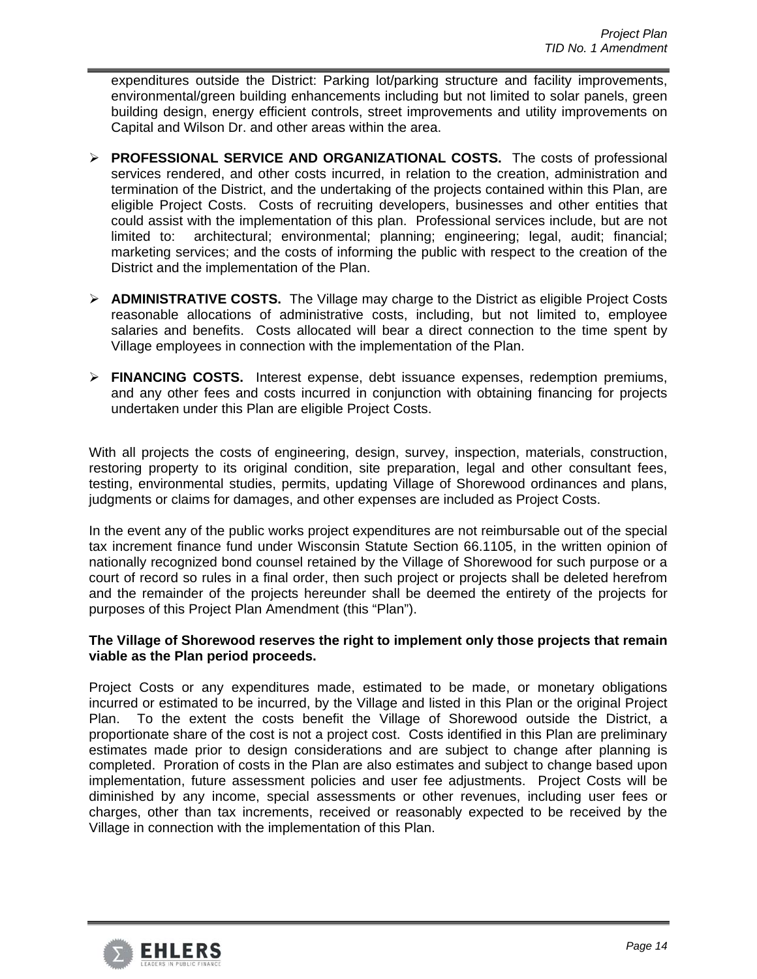expenditures outside the District: Parking lot/parking structure and facility improvements, environmental/green building enhancements including but not limited to solar panels, green building design, energy efficient controls, street improvements and utility improvements on Capital and Wilson Dr. and other areas within the area.

- **PROFESSIONAL SERVICE AND ORGANIZATIONAL COSTS.** The costs of professional services rendered, and other costs incurred, in relation to the creation, administration and termination of the District, and the undertaking of the projects contained within this Plan, are eligible Project Costs. Costs of recruiting developers, businesses and other entities that could assist with the implementation of this plan. Professional services include, but are not limited to: architectural; environmental; planning; engineering; legal, audit; financial; marketing services; and the costs of informing the public with respect to the creation of the District and the implementation of the Plan.
- **ADMINISTRATIVE COSTS.** The Village may charge to the District as eligible Project Costs reasonable allocations of administrative costs, including, but not limited to, employee salaries and benefits. Costs allocated will bear a direct connection to the time spent by Village employees in connection with the implementation of the Plan.
- **FINANCING COSTS.** Interest expense, debt issuance expenses, redemption premiums, and any other fees and costs incurred in conjunction with obtaining financing for projects undertaken under this Plan are eligible Project Costs.

With all projects the costs of engineering, design, survey, inspection, materials, construction, restoring property to its original condition, site preparation, legal and other consultant fees, testing, environmental studies, permits, updating Village of Shorewood ordinances and plans, judgments or claims for damages, and other expenses are included as Project Costs.

In the event any of the public works project expenditures are not reimbursable out of the special tax increment finance fund under Wisconsin Statute Section 66.1105, in the written opinion of nationally recognized bond counsel retained by the Village of Shorewood for such purpose or a court of record so rules in a final order, then such project or projects shall be deleted herefrom and the remainder of the projects hereunder shall be deemed the entirety of the projects for purposes of this Project Plan Amendment (this "Plan").

# **The Village of Shorewood reserves the right to implement only those projects that remain viable as the Plan period proceeds.**

Project Costs or any expenditures made, estimated to be made, or monetary obligations incurred or estimated to be incurred, by the Village and listed in this Plan or the original Project Plan. To the extent the costs benefit the Village of Shorewood outside the District, a proportionate share of the cost is not a project cost. Costs identified in this Plan are preliminary estimates made prior to design considerations and are subject to change after planning is completed. Proration of costs in the Plan are also estimates and subject to change based upon implementation, future assessment policies and user fee adjustments. Project Costs will be diminished by any income, special assessments or other revenues, including user fees or charges, other than tax increments, received or reasonably expected to be received by the Village in connection with the implementation of this Plan.

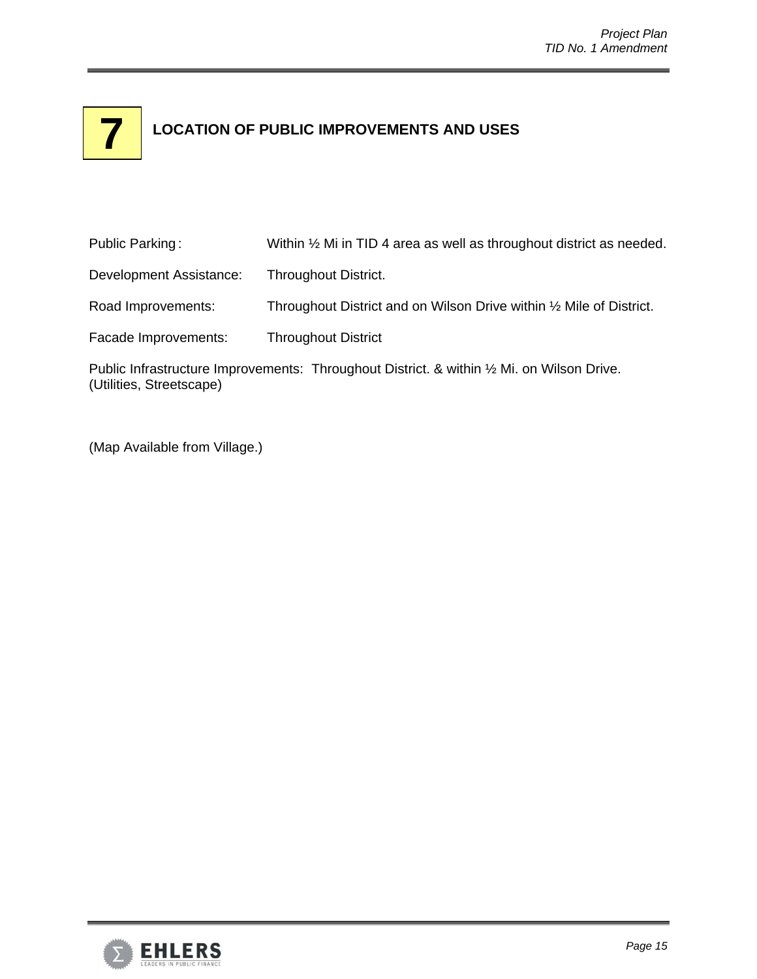# **LOCATION OF PUBLIC IMPROVEMENTS AND USES 7**

| Public Parking:         | Within $\frac{1}{2}$ Mi in TID 4 area as well as throughout district as needed. |
|-------------------------|---------------------------------------------------------------------------------|
| Development Assistance: | <b>Throughout District.</b>                                                     |
| Road Improvements:      | Throughout District and on Wilson Drive within 1/2 Mile of District.            |
| Facade Improvements:    | <b>Throughout District</b>                                                      |

Public Infrastructure Improvements: Throughout District. & within 1/2 Mi. on Wilson Drive. (Utilities, Streetscape)

(Map Available from Village.)

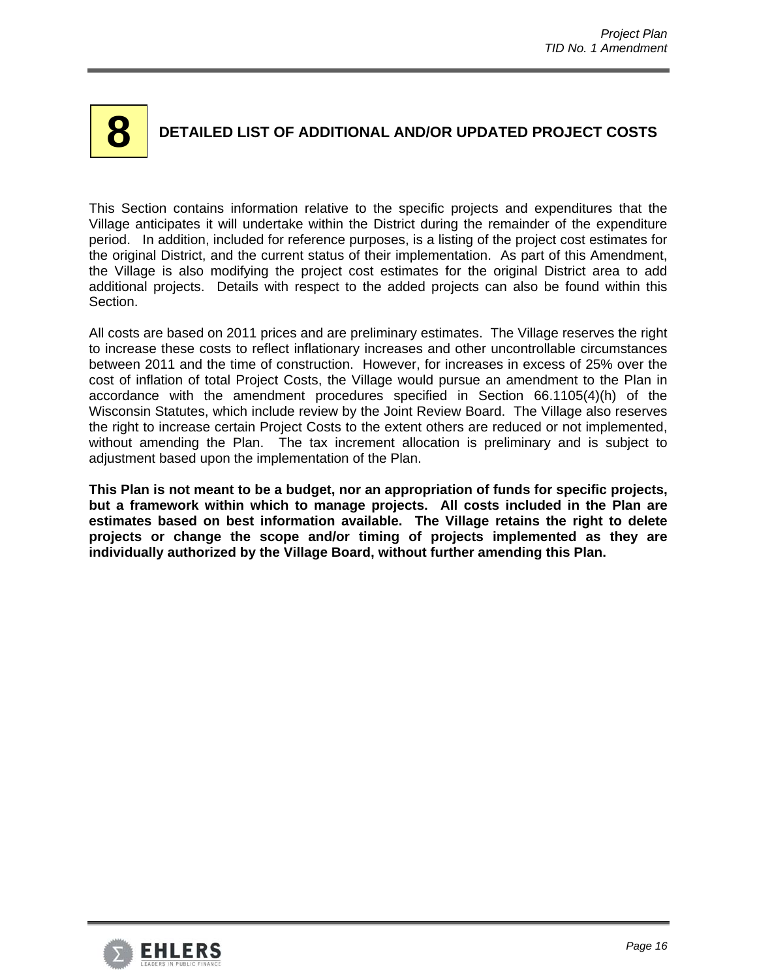# **8**

# **DETAILED LIST OF ADDITIONAL AND/OR UPDATED PROJECT COSTS**

This Section contains information relative to the specific projects and expenditures that the Village anticipates it will undertake within the District during the remainder of the expenditure period. In addition, included for reference purposes, is a listing of the project cost estimates for the original District, and the current status of their implementation. As part of this Amendment, the Village is also modifying the project cost estimates for the original District area to add additional projects. Details with respect to the added projects can also be found within this Section.

All costs are based on 2011 prices and are preliminary estimates. The Village reserves the right to increase these costs to reflect inflationary increases and other uncontrollable circumstances between 2011 and the time of construction. However, for increases in excess of 25% over the cost of inflation of total Project Costs, the Village would pursue an amendment to the Plan in accordance with the amendment procedures specified in Section 66.1105(4)(h) of the Wisconsin Statutes, which include review by the Joint Review Board. The Village also reserves the right to increase certain Project Costs to the extent others are reduced or not implemented, without amending the Plan. The tax increment allocation is preliminary and is subject to adjustment based upon the implementation of the Plan.

**This Plan is not meant to be a budget, nor an appropriation of funds for specific projects, but a framework within which to manage projects. All costs included in the Plan are estimates based on best information available. The Village retains the right to delete projects or change the scope and/or timing of projects implemented as they are individually authorized by the Village Board, without further amending this Plan.** 

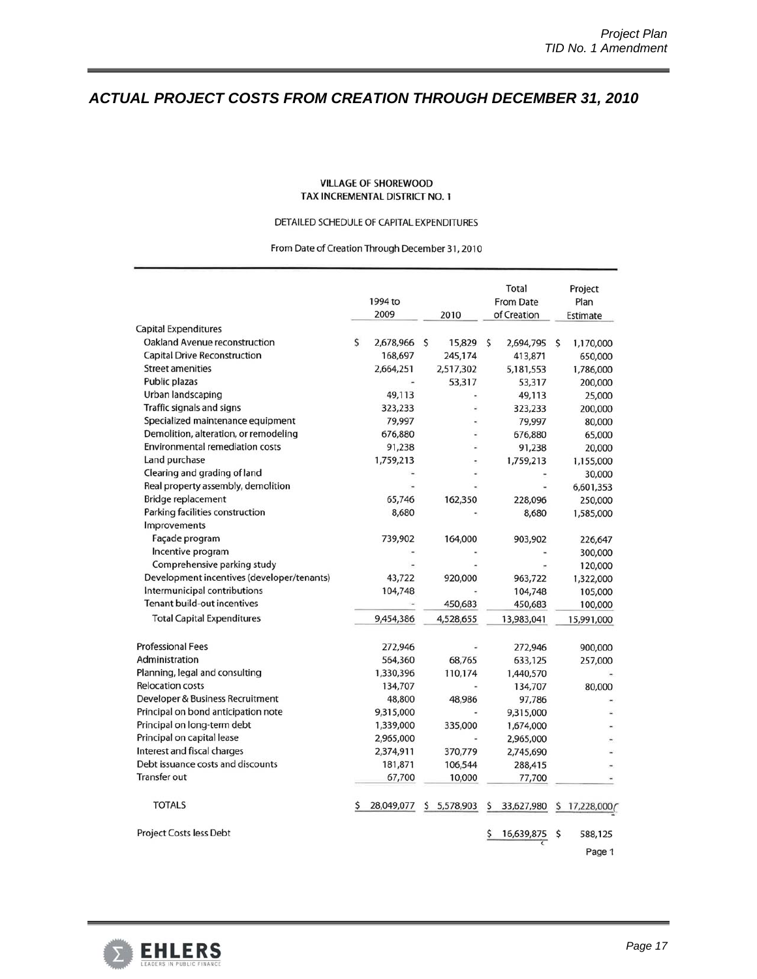# *ACTUAL PROJECT COSTS FROM CREATION THROUGH DECEMBER 31, 2010*

#### **VILLAGE OF SHOREWOOD** TAX INCREMENTAL DISTRICT NO. 1

#### DETAILED SCHEDULE OF CAPITAL EXPENDITURES

From Date of Creation Through December 31, 2010

|                                                                     |   | 1994 to<br>2009      | 2010              | Total<br><b>From Date</b><br>of Creation |                     |    | Project<br>Plan<br>Estimate |
|---------------------------------------------------------------------|---|----------------------|-------------------|------------------------------------------|---------------------|----|-----------------------------|
| <b>Capital Expenditures</b><br><b>Oakland Avenue reconstruction</b> | Ś |                      | \$                | $\mathsf{S}$                             |                     |    |                             |
| <b>Capital Drive Reconstruction</b>                                 |   | 2,678,966<br>168,697 | 15,829<br>245,174 |                                          | 2,694,795           | \$ | 1,170,000                   |
| <b>Street amenities</b>                                             |   | 2,664,251            | 2,517,302         |                                          | 413,871             |    | 650,000                     |
| Public plazas                                                       |   |                      | 53,317            |                                          | 5,181,553<br>53,317 |    | 1,786,000                   |
| Urban landscaping                                                   |   | 49,113               |                   |                                          | 49,113              |    | 200,000<br>25,000           |
| Traffic signals and signs                                           |   | 323,233              |                   |                                          | 323,233             |    | 200,000                     |
| Specialized maintenance equipment                                   |   | 79,997               |                   |                                          | 79,997              |    | 80,000                      |
| Demolition, alteration, or remodeling                               |   | 676,880              |                   |                                          | 676,880             |    |                             |
| <b>Environmental remediation costs</b>                              |   | 91,238               |                   |                                          | 91,238              |    | 65,000                      |
| Land purchase                                                       |   | 1,759,213            |                   |                                          |                     |    | 20,000                      |
| Clearing and grading of land                                        |   |                      |                   |                                          | 1,759,213           |    | 1,155,000                   |
| Real property assembly, demolition                                  |   |                      |                   |                                          |                     |    | 30,000                      |
| Bridge replacement                                                  |   | 65,746               | 162,350           |                                          | 228,096             |    | 6,601,353<br>250,000        |
| Parking facilities construction                                     |   | 8,680                |                   |                                          | 8,680               |    | 1,585,000                   |
| Improvements                                                        |   |                      |                   |                                          |                     |    |                             |
| Façade program                                                      |   | 739,902              | 164,000           |                                          | 903,902             |    | 226,647                     |
| Incentive program                                                   |   |                      |                   |                                          |                     |    |                             |
| Comprehensive parking study                                         |   |                      |                   |                                          |                     |    | 300,000                     |
| Development incentives (developer/tenants)                          |   | 43,722               | 920,000           |                                          | 963,722             |    | 120,000                     |
| Intermunicipal contributions                                        |   | 104,748              |                   |                                          |                     |    | 1,322,000                   |
| <b>Tenant build-out incentives</b>                                  |   |                      | 450,683           |                                          | 104,748             |    | 105,000                     |
|                                                                     |   |                      |                   |                                          | 450,683             |    | 100,000                     |
| <b>Total Capital Expenditures</b>                                   |   | 9,454,386            | 4,528,655         |                                          | 13,983,041          |    | 15,991,000                  |
| <b>Professional Fees</b>                                            |   | 272,946              |                   |                                          | 272,946             |    | 900,000                     |
| Administration                                                      |   | 564,360              | 68,765            |                                          | 633,125             |    | 257,000                     |
| Planning, legal and consulting                                      |   | 1,330,396            | 110,174           |                                          | 1,440,570           |    |                             |
| <b>Relocation costs</b>                                             |   | 134,707              |                   |                                          | 134,707             |    | 80,000                      |
| Developer & Business Recruitment                                    |   | 48,800               | 48,986            |                                          | 97,786              |    |                             |
| Principal on bond anticipation note                                 |   | 9,315,000            |                   |                                          | 9,315,000           |    |                             |
| Principal on long-term debt                                         |   | 1,339,000            | 335,000           |                                          | 1,674,000           |    |                             |
| Principal on capital lease                                          |   | 2,965,000            |                   |                                          | 2,965,000           |    |                             |
| Interest and fiscal charges                                         |   | 2,374,911            | 370,779           |                                          | 2,745,690           |    |                             |
| Debt issuance costs and discounts                                   |   | 181,871              | 106,544           |                                          | 288,415             |    |                             |
| Transfer out                                                        |   | 67,700               | 10,000            |                                          | 77,700              |    |                             |
| <b>TOTALS</b>                                                       |   | 28,049,077           | \$5,578,903       | \$                                       | 33,627,980          | S  | 17,228,000                  |
| Project Costs less Debt                                             |   |                      |                   |                                          | 16,639,875          | \$ | 588,125                     |
|                                                                     |   |                      |                   |                                          |                     |    | Page 1                      |

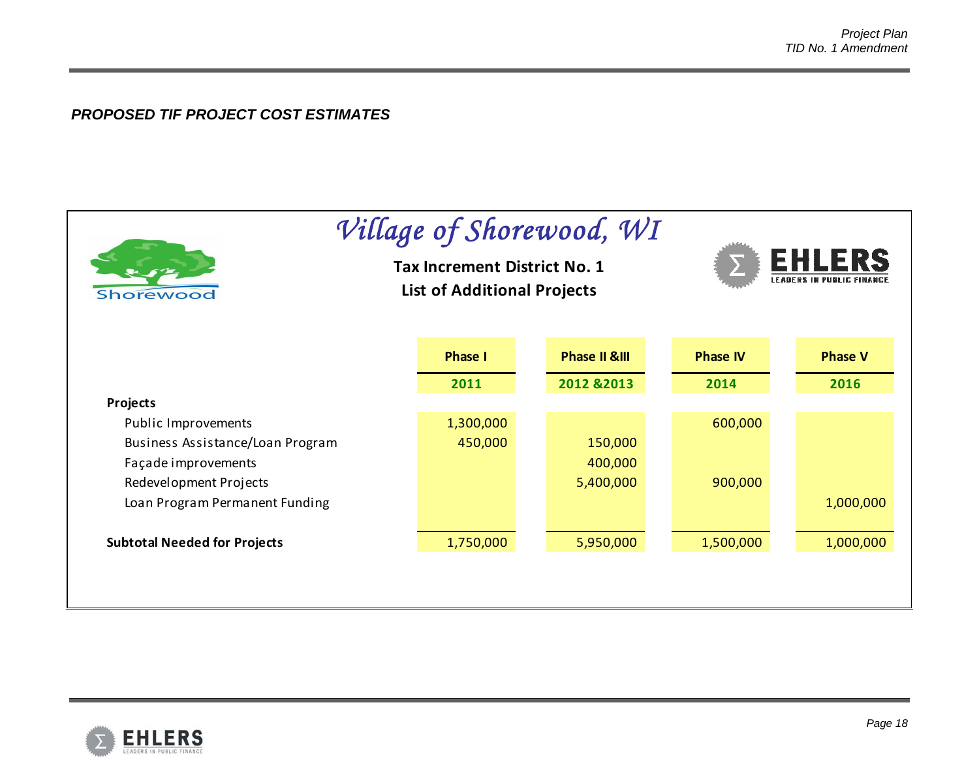# *PROPOSED TIF PROJECT COST ESTIMATES*

| Shorewood                           | <b>Tax Increment District No. 1</b><br><b>List of Additional Projects</b> | Village of Shorewood, WI |                 | <b>EHLERS</b><br>LEADERS IN PUBLIC FINANCE |  |  |
|-------------------------------------|---------------------------------------------------------------------------|--------------------------|-----------------|--------------------------------------------|--|--|
|                                     | <b>Phase I</b>                                                            | <b>Phase II &amp;III</b> | <b>Phase IV</b> | <b>Phase V</b>                             |  |  |
|                                     | 2011                                                                      | 2012 & 2013              | 2014            | 2016                                       |  |  |
| <b>Projects</b>                     |                                                                           |                          |                 |                                            |  |  |
| Public Improvements                 | 1,300,000                                                                 |                          | 600,000         |                                            |  |  |
| Business Assistance/Loan Program    | 450,000                                                                   | 150,000                  |                 |                                            |  |  |
| Façade improvements                 |                                                                           | 400,000                  |                 |                                            |  |  |
| Redevelopment Projects              |                                                                           | 5,400,000                | 900,000         |                                            |  |  |
| Loan Program Permanent Funding      |                                                                           |                          |                 | 1,000,000                                  |  |  |
| <b>Subtotal Needed for Projects</b> | 1,750,000                                                                 | 5,950,000                | 1,500,000       | 1,000,000                                  |  |  |
|                                     |                                                                           |                          |                 |                                            |  |  |

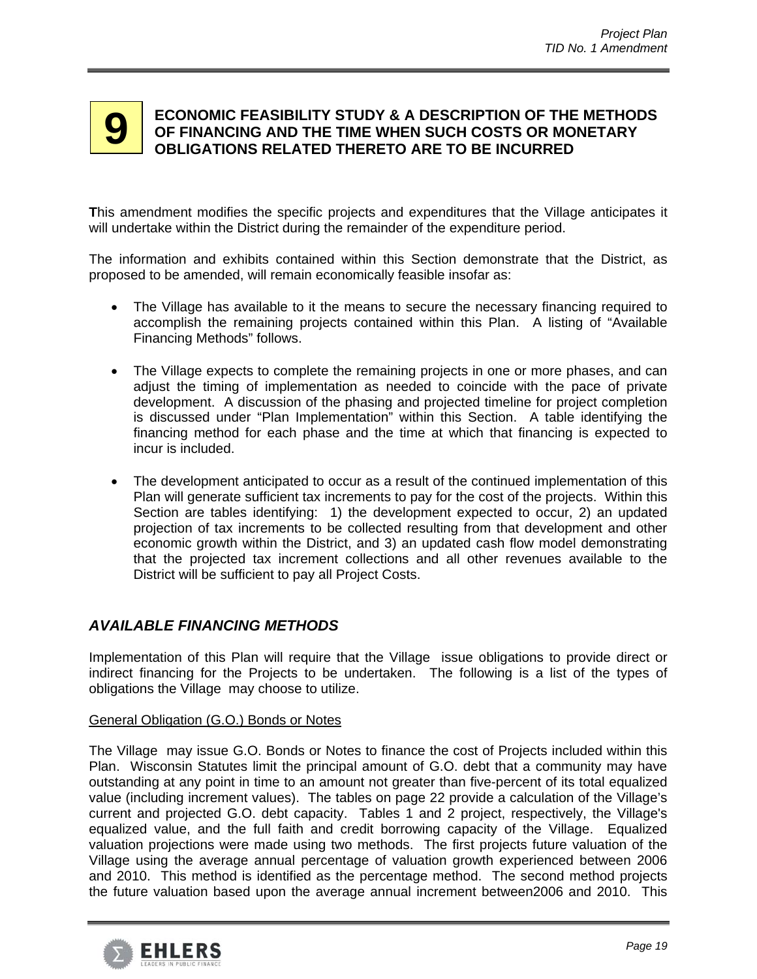# **9 ECONOMIC FEASIBILITY STUDY & A DESCRIPTION OF THE METHODS**<br>**9** OF FINANCING AND THE TIME WHEN SUCH COSTS OR MONETARY **OF FINANCING AND THE TIME WHEN SUCH COSTS OR MONETARY OBLIGATIONS RELATED THERETO ARE TO BE INCURRED**

**T**his amendment modifies the specific projects and expenditures that the Village anticipates it will undertake within the District during the remainder of the expenditure period.

The information and exhibits contained within this Section demonstrate that the District, as proposed to be amended, will remain economically feasible insofar as:

- The Village has available to it the means to secure the necessary financing required to accomplish the remaining projects contained within this Plan. A listing of "Available Financing Methods" follows.
- The Village expects to complete the remaining projects in one or more phases, and can adjust the timing of implementation as needed to coincide with the pace of private development. A discussion of the phasing and projected timeline for project completion is discussed under "Plan Implementation" within this Section. A table identifying the financing method for each phase and the time at which that financing is expected to incur is included.
- The development anticipated to occur as a result of the continued implementation of this Plan will generate sufficient tax increments to pay for the cost of the projects. Within this Section are tables identifying: 1) the development expected to occur, 2) an updated projection of tax increments to be collected resulting from that development and other economic growth within the District, and 3) an updated cash flow model demonstrating that the projected tax increment collections and all other revenues available to the District will be sufficient to pay all Project Costs.

# *AVAILABLE FINANCING METHODS*

Implementation of this Plan will require that the Village issue obligations to provide direct or indirect financing for the Projects to be undertaken. The following is a list of the types of obligations the Village may choose to utilize.

# General Obligation (G.O.) Bonds or Notes

The Village may issue G.O. Bonds or Notes to finance the cost of Projects included within this Plan. Wisconsin Statutes limit the principal amount of G.O. debt that a community may have outstanding at any point in time to an amount not greater than five-percent of its total equalized value (including increment values). The tables on page 22 provide a calculation of the Village's current and projected G.O. debt capacity. Tables 1 and 2 project, respectively, the Village's equalized value, and the full faith and credit borrowing capacity of the Village. Equalized valuation projections were made using two methods. The first projects future valuation of the Village using the average annual percentage of valuation growth experienced between 2006 and 2010. This method is identified as the percentage method. The second method projects the future valuation based upon the average annual increment between2006 and 2010. This

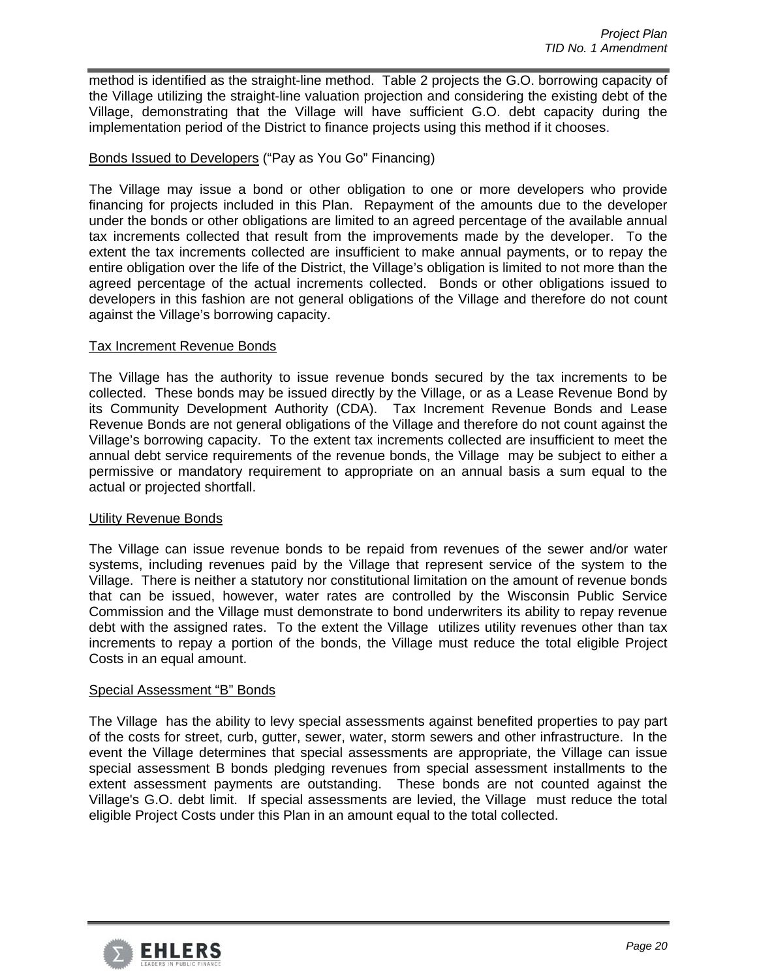method is identified as the straight-line method. Table 2 projects the G.O. borrowing capacity of the Village utilizing the straight-line valuation projection and considering the existing debt of the Village, demonstrating that the Village will have sufficient G.O. debt capacity during the implementation period of the District to finance projects using this method if it chooses.

## Bonds Issued to Developers ("Pay as You Go" Financing)

The Village may issue a bond or other obligation to one or more developers who provide financing for projects included in this Plan. Repayment of the amounts due to the developer under the bonds or other obligations are limited to an agreed percentage of the available annual tax increments collected that result from the improvements made by the developer. To the extent the tax increments collected are insufficient to make annual payments, or to repay the entire obligation over the life of the District, the Village's obligation is limited to not more than the agreed percentage of the actual increments collected. Bonds or other obligations issued to developers in this fashion are not general obligations of the Village and therefore do not count against the Village's borrowing capacity.

### Tax Increment Revenue Bonds

The Village has the authority to issue revenue bonds secured by the tax increments to be collected. These bonds may be issued directly by the Village, or as a Lease Revenue Bond by its Community Development Authority (CDA). Tax Increment Revenue Bonds and Lease Revenue Bonds are not general obligations of the Village and therefore do not count against the Village's borrowing capacity. To the extent tax increments collected are insufficient to meet the annual debt service requirements of the revenue bonds, the Village may be subject to either a permissive or mandatory requirement to appropriate on an annual basis a sum equal to the actual or projected shortfall.

### Utility Revenue Bonds

The Village can issue revenue bonds to be repaid from revenues of the sewer and/or water systems, including revenues paid by the Village that represent service of the system to the Village. There is neither a statutory nor constitutional limitation on the amount of revenue bonds that can be issued, however, water rates are controlled by the Wisconsin Public Service Commission and the Village must demonstrate to bond underwriters its ability to repay revenue debt with the assigned rates. To the extent the Village utilizes utility revenues other than tax increments to repay a portion of the bonds, the Village must reduce the total eligible Project Costs in an equal amount.

### Special Assessment "B" Bonds

The Village has the ability to levy special assessments against benefited properties to pay part of the costs for street, curb, gutter, sewer, water, storm sewers and other infrastructure. In the event the Village determines that special assessments are appropriate, the Village can issue special assessment B bonds pledging revenues from special assessment installments to the extent assessment payments are outstanding. These bonds are not counted against the Village's G.O. debt limit. If special assessments are levied, the Village must reduce the total eligible Project Costs under this Plan in an amount equal to the total collected.

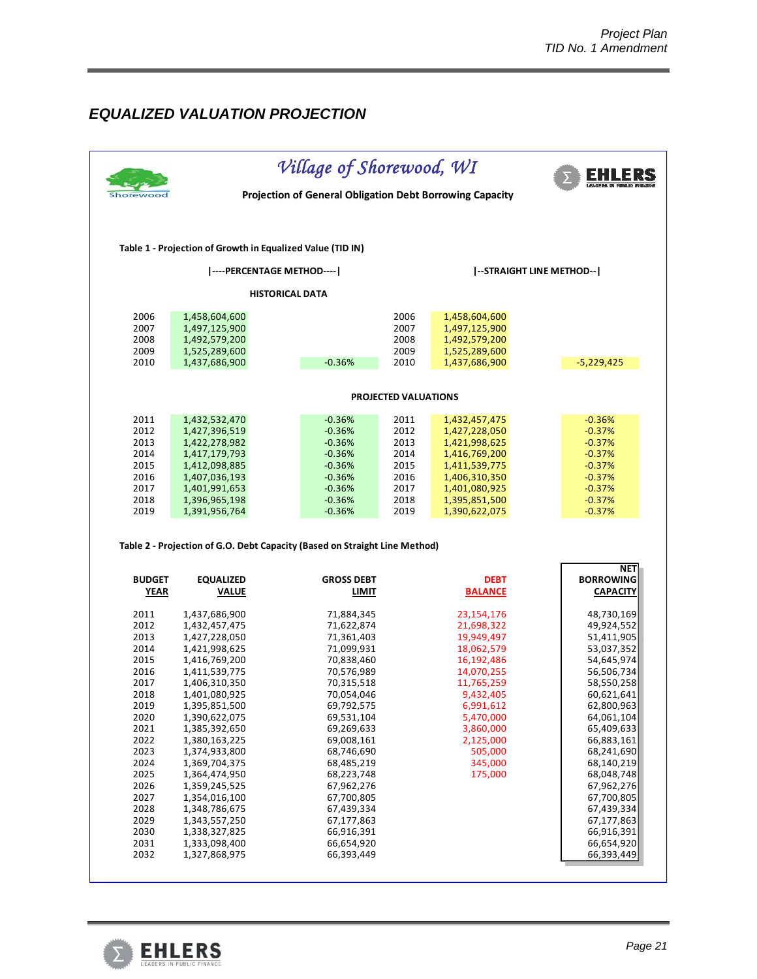# *EQUALIZED VALUATION PROJECTION*

|               |                                                                            | Village of Shorewood, WI<br>Projection of General Obligation Debt Borrowing Capacity |                             |                                |                          |  |  |  |  |  |  |  |  |
|---------------|----------------------------------------------------------------------------|--------------------------------------------------------------------------------------|-----------------------------|--------------------------------|--------------------------|--|--|--|--|--|--|--|--|
|               | Table 1 - Projection of Growth in Equalized Value (TID IN)                 |                                                                                      |                             |                                |                          |  |  |  |  |  |  |  |  |
|               | ----PERCENTAGE METHOD----                                                  |                                                                                      |                             |                                | --STRAIGHT LINE METHOD-- |  |  |  |  |  |  |  |  |
|               | <b>HISTORICAL DATA</b>                                                     |                                                                                      |                             |                                |                          |  |  |  |  |  |  |  |  |
| 2006          | 1,458,604,600                                                              |                                                                                      | 2006                        | 1,458,604,600                  |                          |  |  |  |  |  |  |  |  |
| 2007          | 1,497,125,900                                                              |                                                                                      | 2007                        | 1,497,125,900                  |                          |  |  |  |  |  |  |  |  |
| 2008          | 1,492,579,200                                                              |                                                                                      | 2008                        | 1,492,579,200                  |                          |  |  |  |  |  |  |  |  |
| 2009          | 1,525,289,600                                                              |                                                                                      | 2009                        | 1,525,289,600                  |                          |  |  |  |  |  |  |  |  |
| 2010          | 1,437,686,900                                                              | $-0.36%$                                                                             | 2010                        | 1,437,686,900                  | $-5,229,425$             |  |  |  |  |  |  |  |  |
|               |                                                                            |                                                                                      | <b>PROJECTED VALUATIONS</b> |                                |                          |  |  |  |  |  |  |  |  |
|               |                                                                            |                                                                                      |                             |                                |                          |  |  |  |  |  |  |  |  |
| 2011          | 1,432,532,470                                                              | $-0.36%$                                                                             | 2011                        | 1,432,457,475                  | $-0.36%$                 |  |  |  |  |  |  |  |  |
| 2012          | 1,427,396,519                                                              | $-0.36%$                                                                             | 2012                        | 1,427,228,050                  | $-0.37%$                 |  |  |  |  |  |  |  |  |
| 2013          | 1,422,278,982                                                              | $-0.36%$                                                                             | 2013                        | 1,421,998,625                  | $-0.37%$                 |  |  |  |  |  |  |  |  |
| 2014<br>2015  | 1,417,179,793                                                              | $-0.36%$<br>$-0.36%$                                                                 | 2014<br>2015                | 1,416,769,200<br>1,411,539,775 | $-0.37%$<br>$-0.37%$     |  |  |  |  |  |  |  |  |
| 2016          | 1,412,098,885<br>1,407,036,193                                             | $-0.36%$                                                                             | 2016                        | 1,406,310,350                  | $-0.37%$                 |  |  |  |  |  |  |  |  |
| 2017          | 1,401,991,653                                                              | $-0.36%$                                                                             | 2017                        | 1,401,080,925                  | $-0.37%$                 |  |  |  |  |  |  |  |  |
| 2018          | 1,396,965,198                                                              | $-0.36%$                                                                             | 2018                        | 1,395,851,500                  | $-0.37%$                 |  |  |  |  |  |  |  |  |
| 2019          | 1,391,956,764                                                              | $-0.36%$                                                                             | 2019                        | 1,390,622,075                  | $-0.37%$                 |  |  |  |  |  |  |  |  |
|               | Table 2 - Projection of G.O. Debt Capacity (Based on Straight Line Method) |                                                                                      |                             |                                | <b>NET</b>               |  |  |  |  |  |  |  |  |
| <b>BUDGET</b> | <b>EQUALIZED</b>                                                           | <b>GROSS DEBT</b>                                                                    |                             | <b>DEBT</b>                    | <b>BORROWING</b>         |  |  |  |  |  |  |  |  |
| <b>YEAR</b>   | <b>VALUE</b>                                                               | LIMIT                                                                                |                             | <b>BALANCE</b>                 | <b>CAPACITY</b>          |  |  |  |  |  |  |  |  |
| 2011          | 1,437,686,900                                                              | 71,884,345                                                                           |                             | 23,154,176                     | 48,730,169               |  |  |  |  |  |  |  |  |
| 2012          | 1,432,457,475                                                              | 71,622,874                                                                           |                             | 21,698,322                     | 49,924,552               |  |  |  |  |  |  |  |  |
| 2013          | 1,427,228,050                                                              | 71,361,403                                                                           |                             | 19,949,497                     | 51,411,905               |  |  |  |  |  |  |  |  |
| 2014          | 1,421,998,625                                                              | 71,099,931                                                                           |                             | 18,062,579                     | 53,037,352               |  |  |  |  |  |  |  |  |
| 2015          | 1,416,769,200                                                              | 70,838,460                                                                           |                             | 16,192,486                     | 54,645,974               |  |  |  |  |  |  |  |  |
| 2016          | 1,411,539,775                                                              | 70,576,989                                                                           |                             | 14,070,255                     | 56,506,734               |  |  |  |  |  |  |  |  |
| 2017          | 1,406,310,350                                                              | 70,315,518                                                                           |                             | 11,765,259                     | 58,550,258               |  |  |  |  |  |  |  |  |
| 2018          | 1,401,080,925                                                              | 70,054,046                                                                           |                             | 9,432,405                      | 60,621,641<br>62,800,963 |  |  |  |  |  |  |  |  |
| 2019<br>2020  | 1,395,851,500<br>1,390,622,075                                             | 69,792,575<br>69,531,104                                                             |                             | 6,991,612<br>5,470,000         | 64,061,104               |  |  |  |  |  |  |  |  |
| 2021          | 1,385,392,650                                                              | 69,269,633                                                                           |                             | 3,860,000                      | 65,409,633               |  |  |  |  |  |  |  |  |
| 2022          | 1,380,163,225                                                              | 69,008,161                                                                           |                             | 2,125,000                      | 66,883,161               |  |  |  |  |  |  |  |  |
| 2023          | 1,374,933,800                                                              | 68,746,690                                                                           |                             | 505,000                        | 68,241,690               |  |  |  |  |  |  |  |  |
| 2024          | 1,369,704,375                                                              | 68,485,219                                                                           |                             | 345,000                        | 68,140,219               |  |  |  |  |  |  |  |  |
| 2025          | 1,364,474,950                                                              | 68,223,748                                                                           |                             | 175,000                        | 68,048,748               |  |  |  |  |  |  |  |  |
| 2026          | 1,359,245,525                                                              | 67,962,276                                                                           |                             |                                | 67,962,276               |  |  |  |  |  |  |  |  |
| 2027          | 1,354,016,100                                                              | 67,700,805                                                                           |                             |                                | 67,700,805               |  |  |  |  |  |  |  |  |
| 2028          | 1,348,786,675                                                              | 67,439,334                                                                           |                             |                                | 67,439,334               |  |  |  |  |  |  |  |  |
| 2029          | 1,343,557,250                                                              | 67,177,863                                                                           |                             |                                | 67,177,863               |  |  |  |  |  |  |  |  |
| 2030          | 1,338,327,825                                                              | 66,916,391                                                                           |                             |                                | 66,916,391               |  |  |  |  |  |  |  |  |
|               |                                                                            | 66,654,920                                                                           |                             |                                | 66,654,920               |  |  |  |  |  |  |  |  |
|               |                                                                            |                                                                                      |                             |                                |                          |  |  |  |  |  |  |  |  |
| 2031<br>2032  | 1,333,098,400<br>1,327,868,975                                             | 66,393,449                                                                           |                             |                                | 66,393,449               |  |  |  |  |  |  |  |  |

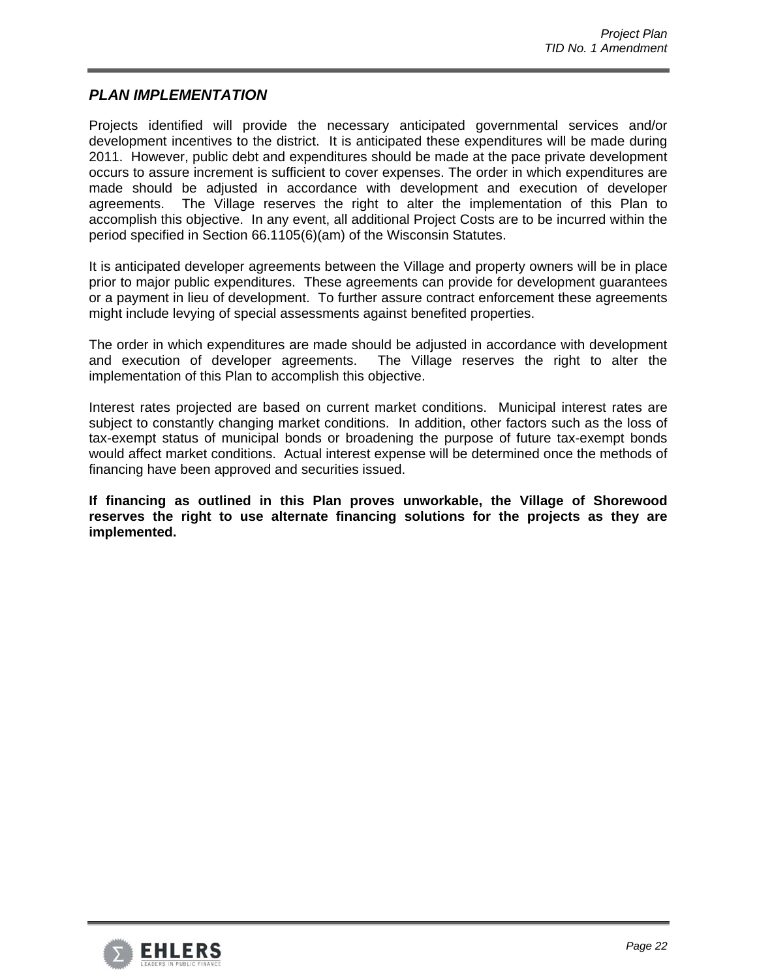# *PLAN IMPLEMENTATION*

Projects identified will provide the necessary anticipated governmental services and/or development incentives to the district. It is anticipated these expenditures will be made during 2011. However, public debt and expenditures should be made at the pace private development occurs to assure increment is sufficient to cover expenses. The order in which expenditures are made should be adjusted in accordance with development and execution of developer agreements. The Village reserves the right to alter the implementation of this Plan to accomplish this objective. In any event, all additional Project Costs are to be incurred within the period specified in Section 66.1105(6)(am) of the Wisconsin Statutes.

It is anticipated developer agreements between the Village and property owners will be in place prior to major public expenditures. These agreements can provide for development guarantees or a payment in lieu of development. To further assure contract enforcement these agreements might include levying of special assessments against benefited properties.

The order in which expenditures are made should be adjusted in accordance with development and execution of developer agreements. The Village reserves the right to alter the implementation of this Plan to accomplish this objective.

Interest rates projected are based on current market conditions. Municipal interest rates are subject to constantly changing market conditions. In addition, other factors such as the loss of tax-exempt status of municipal bonds or broadening the purpose of future tax-exempt bonds would affect market conditions. Actual interest expense will be determined once the methods of financing have been approved and securities issued.

**If financing as outlined in this Plan proves unworkable, the Village of Shorewood reserves the right to use alternate financing solutions for the projects as they are implemented.** 

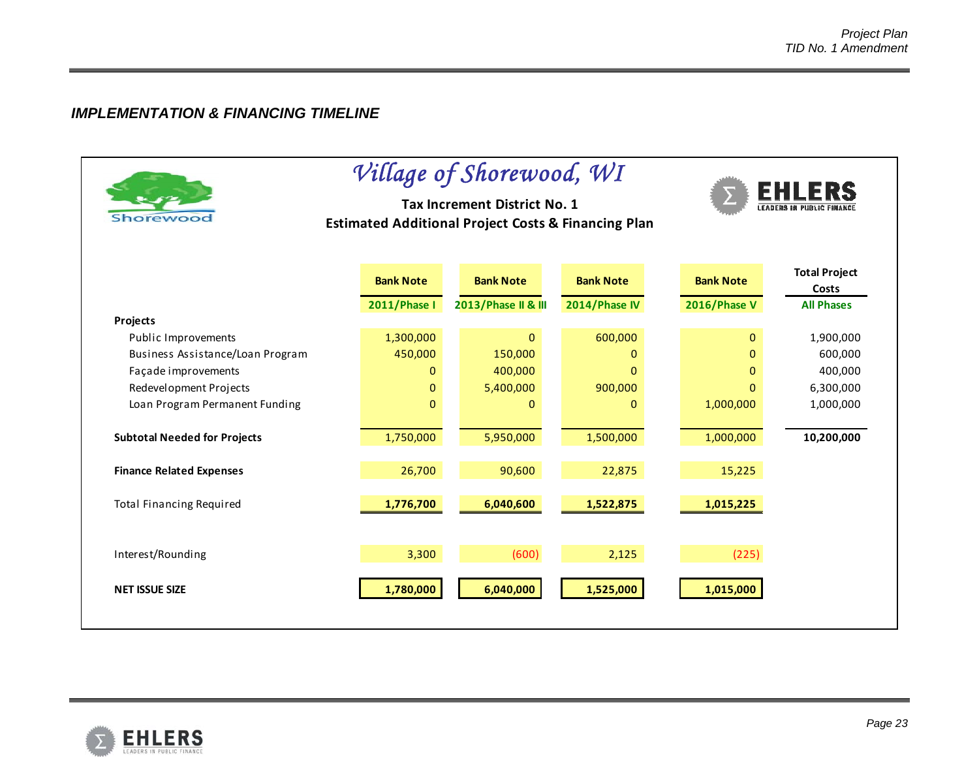# *IMPLEMENTATION & FINANCING TIMELINE*

| Shorewoo                            |                     | Village of Shorewood, WI<br>Tax Increment District No. 1<br><b>Estimated Additional Project Costs &amp; Financing Plan</b> |                  | <b>EHLERS</b>       |                               |
|-------------------------------------|---------------------|----------------------------------------------------------------------------------------------------------------------------|------------------|---------------------|-------------------------------|
|                                     | <b>Bank Note</b>    | <b>Bank Note</b>                                                                                                           | <b>Bank Note</b> | <b>Bank Note</b>    | <b>Total Project</b><br>Costs |
|                                     | <b>2011/Phase I</b> | 2013/Phase II & III                                                                                                        | 2014/Phase IV    | <b>2016/Phase V</b> | <b>All Phases</b>             |
| Projects                            |                     |                                                                                                                            |                  |                     |                               |
| Public Improvements                 | 1,300,000           | $\Omega$                                                                                                                   | 600,000          | $\Omega$            | 1,900,000                     |
| Business Assistance/Loan Program    | 450,000             | 150,000                                                                                                                    | $\mathbf 0$      | $\overline{0}$      | 600,000                       |
| Façade improvements                 | $\Omega$            | 400,000                                                                                                                    | $\Omega$         | 0                   | 400,000                       |
| Redevelopment Projects              | $\Omega$            | 5,400,000                                                                                                                  | 900,000          | $\Omega$            | 6,300,000                     |
| Loan Program Permanent Funding      | $\mathbf{0}$        | $\mathbf{0}$                                                                                                               | $\mathbf 0$      | 1,000,000           | 1,000,000                     |
| <b>Subtotal Needed for Projects</b> | 1,750,000           | 5,950,000                                                                                                                  | 1,500,000        | 1,000,000           | 10,200,000                    |
| <b>Finance Related Expenses</b>     | 26,700              | 90,600                                                                                                                     | 22,875           | 15,225              |                               |
| <b>Total Financing Required</b>     | 1,776,700           | 6,040,600                                                                                                                  | 1,522,875        | 1,015,225           |                               |
| Interest/Rounding                   | 3,300               | (600)                                                                                                                      | 2,125            | (225)               |                               |
| <b>NET ISSUE SIZE</b>               | 1,780,000           | 6,040,000                                                                                                                  | 1,525,000        | 1,015,000           |                               |

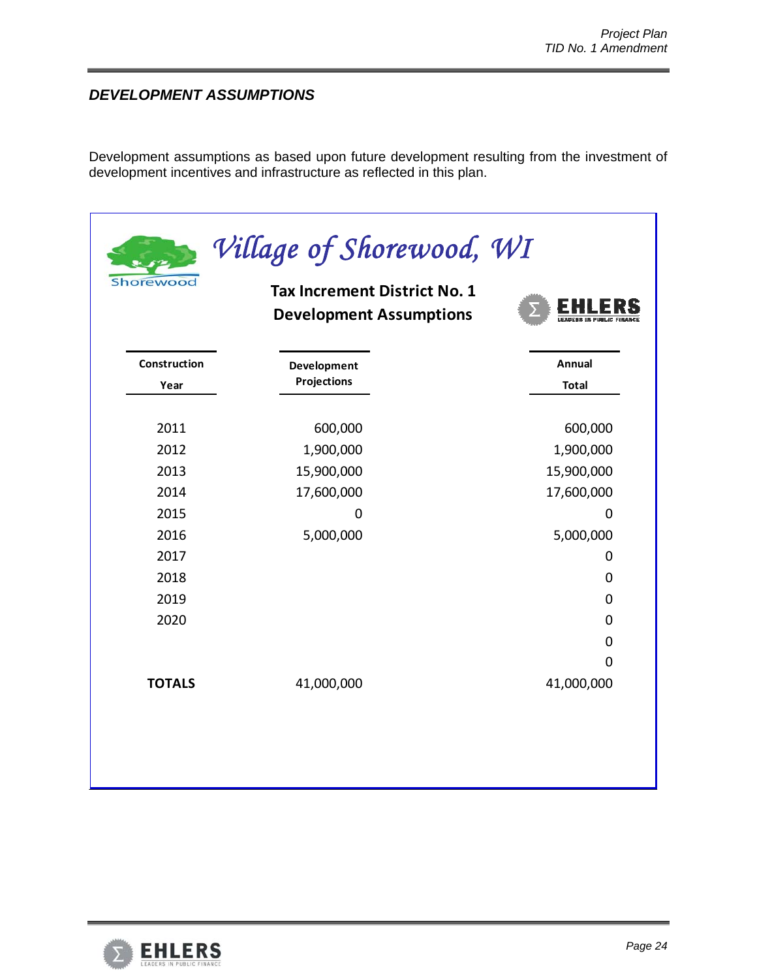# *DEVELOPMENT ASSUMPTIONS*

Development assumptions as based upon future development resulting from the investment of development incentives and infrastructure as reflected in this plan.

| Shorewood            | Village of Shorewood, WI<br><b>Tax Increment District No. 1</b><br><b>Development Assumptions</b> |                                  |
|----------------------|---------------------------------------------------------------------------------------------------|----------------------------------|
| Construction<br>Year | Development<br><b>Projections</b>                                                                 | Annual<br><b>Total</b>           |
| 2011<br>2012         | 600,000<br>1,900,000                                                                              | 600,000<br>1,900,000             |
| 2013<br>2014<br>2015 | 15,900,000<br>17,600,000                                                                          | 15,900,000<br>17,600,000         |
| 2016<br>2017         | 0<br>5,000,000                                                                                    | 0<br>5,000,000<br>$\mathbf 0$    |
| 2018<br>2019         |                                                                                                   | $\overline{0}$<br>$\mathbf 0$    |
| 2020                 |                                                                                                   | $\overline{0}$<br>$\overline{0}$ |
| <b>TOTALS</b>        | 41,000,000                                                                                        | $\mathbf 0$<br>41,000,000        |
|                      |                                                                                                   |                                  |

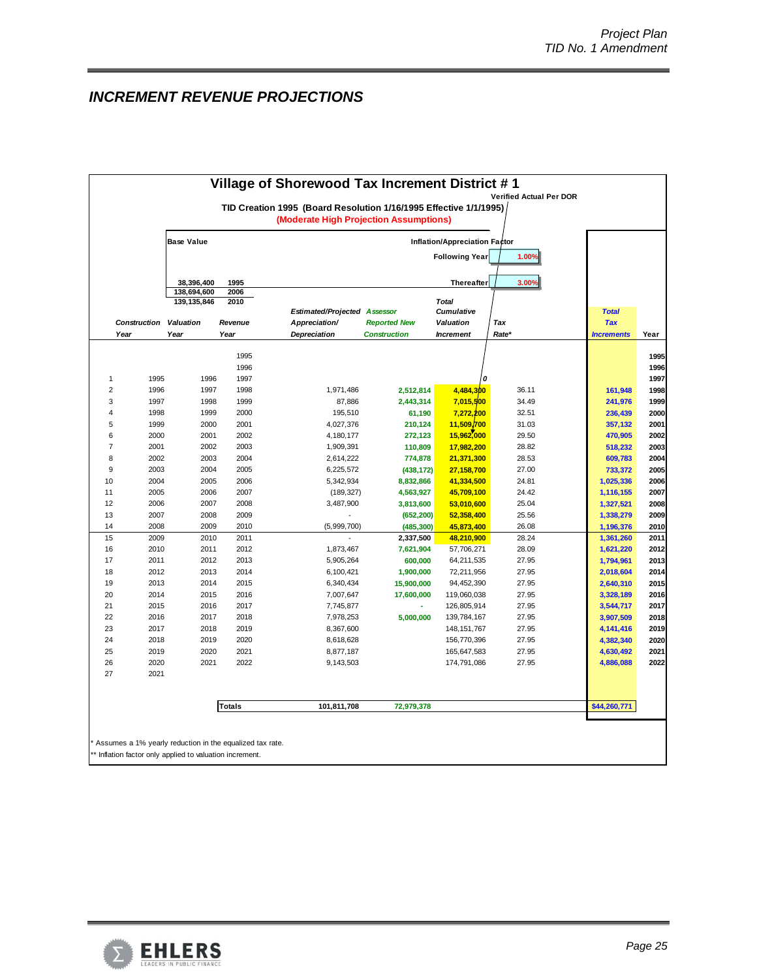# *INCREMENT REVENUE PROJECTIONS*

|                                | (Moderate High Projection Assumptions)        | TID Creation 1995 (Board Resolution 1/16/1995 Effective 1/1/1995) |                |                        |              |  |  |  |  |  |
|--------------------------------|-----------------------------------------------|-------------------------------------------------------------------|----------------|------------------------|--------------|--|--|--|--|--|
|                                |                                               | Inflation/Appreciation Factor                                     |                |                        |              |  |  |  |  |  |
| <b>Following Year</b><br>1.00% |                                               |                                                                   |                |                        |              |  |  |  |  |  |
| 1995<br>2006                   |                                               | <b>Thereafter</b>                                                 | 3.00%          |                        |              |  |  |  |  |  |
| 2010                           |                                               | <b>Total</b>                                                      |                |                        |              |  |  |  |  |  |
|                                | <b>Estimated/Projected</b><br><b>Assessor</b> | <b>Cumulative</b>                                                 |                | <b>Total</b>           |              |  |  |  |  |  |
| Appreciation/<br>Revenue       | <b>Reported New</b>                           | Valuation                                                         | Tax            | <b>Tax</b>             |              |  |  |  |  |  |
| <b>Depreciation</b>            | <b>Construction</b>                           | <b>Increment</b>                                                  | Rate*          | <b>Increments</b>      | Year         |  |  |  |  |  |
| 1995                           |                                               |                                                                   |                |                        | 1995         |  |  |  |  |  |
| 1996                           |                                               |                                                                   |                |                        | 1996         |  |  |  |  |  |
| 1997                           |                                               | 0                                                                 |                |                        | 1997         |  |  |  |  |  |
| 1998                           | 1,971,486                                     | 4,484,300<br>2,512,814                                            | 36.11          | 161,948                | 1998         |  |  |  |  |  |
| 1999                           | 87,886                                        | 2,443,314<br>7,015,500                                            | 34.49          | 241,976                | 1999         |  |  |  |  |  |
| 2000                           | 195,510                                       | 7,272,200<br>61,190                                               | 32.51          | 236,439                | 2000         |  |  |  |  |  |
| 2001                           | 4,027,376                                     | 210,124<br>11,509,700                                             | 31.03          | 357,132                | 2001         |  |  |  |  |  |
| 2002                           | 4,180,177                                     | 15,962,000<br>272,123                                             | 29.50          | 470,905                | 2002         |  |  |  |  |  |
| 2003                           | 1,909,391                                     | 110,809<br>17,982,200                                             | 28.82          | 518,232                | 2003         |  |  |  |  |  |
| 2004                           | 2,614,222                                     | 774,878<br>21,371,300                                             | 28.53          | 609,783                | 2004         |  |  |  |  |  |
| 2005                           | 6,225,572                                     | 27,158,700<br>(438, 172)                                          | 27.00          | 733,372                | 2005         |  |  |  |  |  |
| 2006                           | 5,342,934                                     | 8,832,866<br>41,334,500                                           | 24.81          | 1,025,336              | 2006         |  |  |  |  |  |
| 2007                           | (189, 327)                                    | 45,709,100<br>4,563,927                                           | 24.42          | 1,116,155              | 2007         |  |  |  |  |  |
| 2008                           | 3,487,900                                     | 3,813,600<br>53,010,600                                           | 25.04          | 1,327,521              | 2008         |  |  |  |  |  |
| 2009                           |                                               | (652, 200)<br>52,358,400                                          | 25.56          | 1,338,279              | 2009         |  |  |  |  |  |
| 2010                           | (5,999,700)                                   | (485, 300)<br>45,873,400                                          | 26.08          | 1,196,376              | 2010         |  |  |  |  |  |
| 2011                           |                                               | 2,337,500<br>48,210,900                                           | 28.24          | 1,361,260              | 2011         |  |  |  |  |  |
| 2012                           | 1,873,467                                     | 7,621,904<br>57,706,271                                           | 28.09          | 1,621,220              | 2012         |  |  |  |  |  |
| 2013                           | 5,905,264                                     | 600,000<br>64,211,535                                             | 27.95          | 1,794,961              | 2013         |  |  |  |  |  |
| 2014                           | 6,100,421                                     | 1,900,000<br>72,211,956                                           | 27.95          | 2,018,604              | 2014         |  |  |  |  |  |
| 2015                           | 6,340,434                                     | 15,900,000<br>94,452,390                                          | 27.95          | 2,640,310              | 2015         |  |  |  |  |  |
| 2016                           | 7,007,647                                     | 17,600,000<br>119,060,038                                         | 27.95          | 3,328,189              | 2016         |  |  |  |  |  |
| 2017<br>2018                   | 7,745,877                                     | 126,805,914                                                       | 27.95          | 3,544,717              | 2017         |  |  |  |  |  |
| 2019                           | 7,978,253                                     | 5,000,000<br>139,784,167                                          | 27.95<br>27.95 | 3,907,509              | 2018         |  |  |  |  |  |
| 2020                           | 8,367,600                                     | 148, 151, 767                                                     | 27.95          | 4, 141, 416            | 2019<br>2020 |  |  |  |  |  |
| 2021                           | 8,618,628<br>8,877,187                        | 156,770,396<br>165,647,583                                        | 27.95          | 4,382,340<br>4,630,492 | 2021         |  |  |  |  |  |
| 2022                           | 9,143,503                                     | 174,791,086                                                       | 27.95          | 4,886,088              | 2022         |  |  |  |  |  |
|                                |                                               |                                                                   |                |                        |              |  |  |  |  |  |
|                                |                                               |                                                                   |                |                        |              |  |  |  |  |  |
| <b>Totals</b>                  | 101,811,708                                   | 72,979,378                                                        |                | \$44,260,771           |              |  |  |  |  |  |

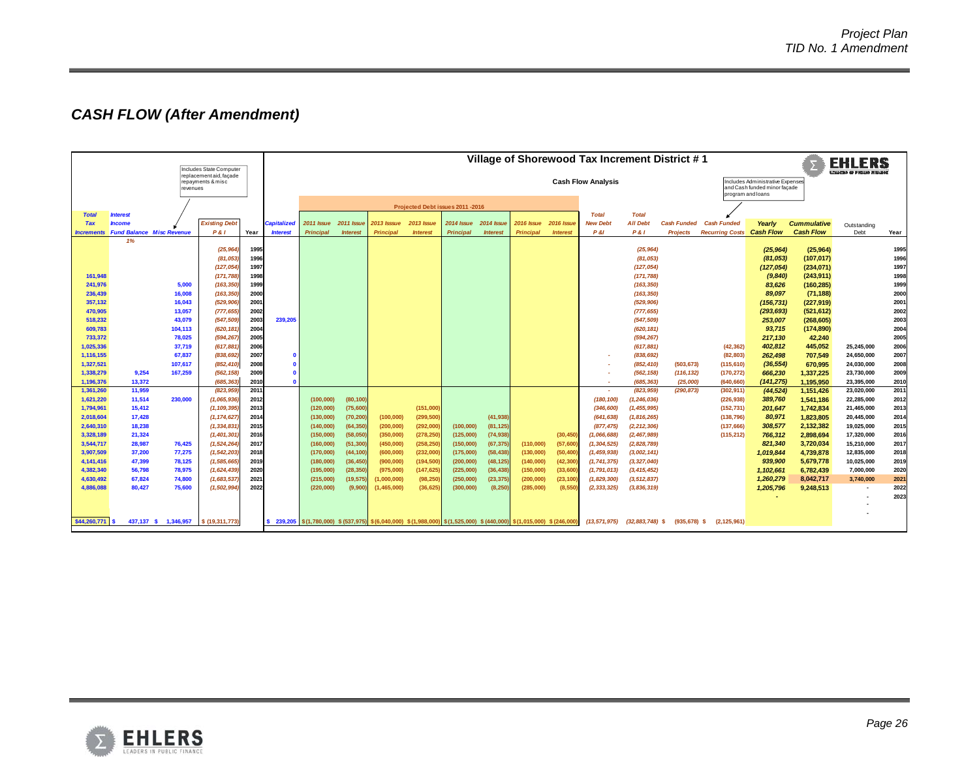# *CASH FLOW (After Amendment)*

|                        |                 |                                  | Includes State Computer<br>replacement aid, facade |              |                              | Village of Shorewood Tax Increment District #1 |                   |                                                                                                                     |                   |                                  |                   |                           |                   |                 |                          |                                                                                       |                                                |                       | <b>EHLERS</b>          |                          |               |
|------------------------|-----------------|----------------------------------|----------------------------------------------------|--------------|------------------------------|------------------------------------------------|-------------------|---------------------------------------------------------------------------------------------------------------------|-------------------|----------------------------------|-------------------|---------------------------|-------------------|-----------------|--------------------------|---------------------------------------------------------------------------------------|------------------------------------------------|-----------------------|------------------------|--------------------------|---------------|
|                        |                 | revenues                         | repayments & misc                                  |              |                              |                                                |                   |                                                                                                                     |                   |                                  |                   | <b>Cash Flow Analysis</b> |                   |                 |                          | Includes Administrative Expenses<br>and Cash funded minor façade<br>program and loans |                                                |                       |                        |                          |               |
|                        |                 |                                  |                                                    |              |                              |                                                |                   |                                                                                                                     |                   | Projected Debt issues 2011 -2016 |                   |                           |                   |                 |                          |                                                                                       |                                                |                       |                        |                          |               |
| <b>Total</b>           | <b>Interest</b> |                                  |                                                    |              |                              |                                                |                   |                                                                                                                     |                   |                                  |                   |                           |                   | <b>Total</b>    | <b>Total</b>             |                                                                                       |                                                |                       |                        |                          |               |
| <b>Tax</b>             | <b>Income</b>   |                                  | <b>Existing Debt</b>                               |              | Capitalized                  | 2011 Issue                                     | <b>2011 Issue</b> | 2013 Isssue                                                                                                         | <b>2013 Issue</b> | 2014 Issue                       | <b>2014 Issue</b> | 2016 Issue                | <b>2016 Issue</b> | <b>New Debt</b> | <b>All Debt</b>          | <b>Cash Funded</b>                                                                    | <b>Cash Funded</b>                             | Yearly                | <b>Cummulative</b>     | Outstanding              |               |
| <b>Increments</b>      |                 | <b>Fund Balance Misc Revenue</b> | <b>P&amp;I</b>                                     | Year         | <b>Interest</b>              | <b>Principal</b>                               | <b>Interest</b>   | <b>Principal</b>                                                                                                    | <b>Interest</b>   | Principal                        | <b>Interest</b>   | <b>Principal</b>          | <b>Interest</b>   | <b>P &amp;I</b> | <b>P&amp;I</b>           | <b>Projects</b>                                                                       | <b>Recurring Costs</b>                         | <b>Cash Flow</b>      | <b>Cash Flow</b>       | Debt                     | Year          |
|                        | 1%              |                                  |                                                    |              |                              |                                                |                   |                                                                                                                     |                   |                                  |                   |                           |                   |                 |                          |                                                                                       |                                                |                       |                        |                          |               |
|                        |                 |                                  | (25, 964)<br>(81, 053)                             | 1995<br>1996 |                              |                                                |                   |                                                                                                                     |                   |                                  |                   |                           |                   |                 | (25, 964)<br>(81, 053)   |                                                                                       |                                                | (25, 964)<br>(81,053) | (25,964)<br>(107, 017) |                          | 1995<br>1996  |
|                        |                 |                                  | (127, 054)                                         | 1997         |                              |                                                |                   |                                                                                                                     |                   |                                  |                   |                           |                   |                 | (127, 054)               |                                                                                       |                                                | (127, 054)            | (234, 071)             |                          | 1997          |
| 161,948                |                 |                                  | (171, 788)                                         | 1998         |                              |                                                |                   |                                                                                                                     |                   |                                  |                   |                           |                   |                 | (171, 788)               |                                                                                       |                                                | (9,840)               | (243, 911)             |                          | 1998          |
| 241,976                |                 | 5,000                            | (163, 350)                                         | 1999         |                              |                                                |                   |                                                                                                                     |                   |                                  |                   |                           |                   |                 | (163, 350)               |                                                                                       |                                                | 83,626                | (160, 285)             |                          | 1999          |
| 236,439                |                 | 16,008                           | (163, 350)                                         | 2000         |                              |                                                |                   |                                                                                                                     |                   |                                  |                   |                           |                   |                 | (163, 350)               |                                                                                       |                                                | 89,097                | (71, 188)              |                          | 2000          |
| 357,132                |                 | 16,043                           | (529, 906)                                         | 2001         |                              |                                                |                   |                                                                                                                     |                   |                                  |                   |                           |                   |                 | (529, 906)               |                                                                                       |                                                | (156, 731)            | (227,919)              |                          | 2001          |
| 470,905                |                 | 13,057                           | (777, 655)                                         | 2002         |                              |                                                |                   |                                                                                                                     |                   |                                  |                   |                           |                   |                 | (777, 655)               |                                                                                       |                                                | (293, 693)            | (521, 612)             |                          | 2002          |
| 518,232                |                 | 43,079                           | (547, 509)                                         | 2003         | 239,205                      |                                                |                   |                                                                                                                     |                   |                                  |                   |                           |                   |                 | (547, 509)               |                                                                                       |                                                | 253,007               | (268, 605)             |                          | 2003          |
| 609,783                |                 | 104,113                          | (620, 181                                          | 2004         |                              |                                                |                   |                                                                                                                     |                   |                                  |                   |                           |                   |                 | (620, 181)               |                                                                                       |                                                | 93,715                | (174, 890)             |                          | 2004          |
| 733,372                |                 | 78,025                           | (594, 267                                          | 2005         |                              |                                                |                   |                                                                                                                     |                   |                                  |                   |                           |                   |                 | (594, 267)               |                                                                                       |                                                | 217,130               | 42,240                 |                          | 2005          |
| 1,025,336              |                 | 37.719                           | (617, 881)                                         | 2006         |                              |                                                |                   |                                                                                                                     |                   |                                  |                   |                           |                   |                 | (617, 881)               |                                                                                       | (42, 362)                                      | 402,812               | 445,052                | 25.245.000               | 2006          |
| 1,116,155              |                 | 67,837                           | (838,692                                           | 2007         |                              |                                                |                   |                                                                                                                     |                   |                                  |                   |                           |                   |                 | (838, 692)               |                                                                                       | (82, 803)                                      | 262,498               | 707,549                | 24,650,000               | 2007          |
| 1,327,521              |                 | 107,617                          | (852, 410)                                         | 2008         | $\mathbf{a}$<br>$\mathbf{a}$ |                                                |                   |                                                                                                                     |                   |                                  |                   |                           |                   |                 | (852, 410)               | (503, 673)                                                                            | (115, 610)                                     | (36, 554)             | 670,995                | 24,030,000               | 2008          |
| 1,338,279<br>1,196,376 | 9,254<br>13,372 | 167,259                          | (562, 158)<br>(685, 363)                           | 2009<br>2010 |                              |                                                |                   |                                                                                                                     |                   |                                  |                   |                           |                   | $\sim$          | (562, 158)<br>(685, 363) | (116, 132)<br>(25,000)                                                                | (170, 272)<br>(640, 660)                       | 666,230<br>(141.275)  | 1,337,225<br>1.195.950 | 23,730,000<br>23,395,000 | 2009<br>2010  |
| 1,361,260              | 11,959          |                                  | (823, 959                                          | 2011         |                              |                                                |                   |                                                                                                                     |                   |                                  |                   |                           |                   | $\sim$          | (823, 959)               | (290, 873)                                                                            | (302, 911)                                     | (44, 524)             | 1,151,426              | 23,020,000               | 2011          |
| 1,621,220              | 11,514          | 230.000                          | (1,065,936)                                        | 2012         |                              | (100, 000)                                     | (80, 100)         |                                                                                                                     |                   |                                  |                   |                           |                   | (180, 100)      | (1, 246, 036)            |                                                                                       | (226, 938)                                     | 389,760               | 1,541,186              | 22,285,000               | 2012          |
| 1,794,961              | 15,412          |                                  | (1, 109, 395)                                      | 2013         |                              | (120,000)                                      | (75, 600)         |                                                                                                                     | (151,000)         |                                  |                   |                           |                   | (346, 600)      | (1, 455, 995)            |                                                                                       | (152, 731)                                     | 201,647               | 1,742,834              | 21,465,000               | 2013          |
| 2,018,604              | 17,428          |                                  | (1, 174, 627)                                      | 2014         |                              | (130,000)                                      | (70, 200)         | (100,000)                                                                                                           | (299, 500)        |                                  | (41, 938)         |                           |                   | (641, 638)      | (1, 816, 265)            |                                                                                       | (138, 796)                                     | 80,971                | 1,823,805              | 20,445,000               | 2014          |
| 2,640,310              | 18,238          |                                  | (1, 334, 831)                                      | 2015         |                              | (140,000)                                      | (64, 350)         | (200, 000)                                                                                                          | (292,000)         | (100,000)                        | (81, 125)         |                           |                   | (877, 475)      | (2, 212, 306)            |                                                                                       | (137, 666)                                     | 308,577               | 2,132,382              | 19,025,000               | 2015          |
| 3,328,189              | 21,324          |                                  | (1, 401, 301)                                      | 2016         |                              | (150,000)                                      | (58,050)          | (350,000)                                                                                                           | (278, 250)        | (125,000)                        | (74, 938)         |                           | (30, 450)         | (1,066,688)     | (2, 467, 989)            |                                                                                       | (115, 212)                                     | 766,312               | 2,898,694              | 17,320,000               | 2016          |
| 3,544,717              | 28,987          | 76,425                           | (1, 524, 264)                                      | 2017         |                              | (160,000)                                      | (51, 300)         | (450,000)                                                                                                           | (258, 250)        | (150,000)                        | (67, 375)         | (110,000)                 | (57,600)          | (1, 304, 525)   | (2,828,789)              |                                                                                       |                                                | 821,340               | 3,720,034              | 15,210,000               | 2017          |
| 3,907,509              | 37,200          | 77,275                           | (1, 542, 203)                                      | 2018         |                              | (170,000)                                      | (44, 100)         | (600, 000)                                                                                                          | (232,000)         | (175,000)                        | (58, 438)         | (130,000)                 | (50, 400)         | (1, 459, 938)   | (3,002,141)              |                                                                                       |                                                | 1,019,844             | 4,739,878              | 12,835,000               | 2018          |
| 4,141,416              | 47,399          | 78,125                           | (1, 585, 665)                                      | 2019         |                              | (180,000)                                      | (36, 450)         | (900, 000)                                                                                                          | (194, 500)        | (200, 000)                       | (48, 125)         | (140,000)                 | (42, 300)         | (1, 741, 375)   | (3, 327, 040)            |                                                                                       |                                                | 939,900               | 5,679,778              | 10,025,000               | 2019          |
| 4.382.340              | 56.798          | 78,975                           | (1,624,439)                                        | 2020         |                              | (195,000)                                      | (28, 350)         | (975,000)                                                                                                           | (147, 625)        | (225,000)                        | (36, 438)         | (150,000)                 | (33, 600)         | (1, 791, 013)   | (3, 415, 452)            |                                                                                       |                                                | 1,102,661             | 6,782,439              | 7.000.000                | 2020          |
| 4,630,492              | 67,824          | 74,800                           | (1,683,537)                                        | 2021         |                              | (215,000)                                      | (19, 575)         | (1,000,000)                                                                                                         | (98, 250)         | (250,000)                        | (23, 375)         | (200, 000)                | (23, 100)         | (1,829,300)     | (3, 512, 837)            |                                                                                       |                                                | 1,260,279             | 8,042,717              | 3,740,000                | $202^{\circ}$ |
| 4.886.088              | 80.427          | 75,600                           | (1, 502, 994)                                      | 2022         |                              | (220,000)                                      | (9,900)           | (1, 465, 000)                                                                                                       | (36, 625)         | (300, 000)                       | (8, 250)          | (285,000)                 | (8, 550)          | (2, 333, 325)   | (3,836,319)              |                                                                                       |                                                | 1,205,796             | 9,248,513              |                          | 2022          |
|                        |                 |                                  |                                                    |              |                              |                                                |                   |                                                                                                                     |                   |                                  |                   |                           |                   |                 |                          |                                                                                       |                                                |                       |                        |                          | 2023          |
|                        |                 |                                  |                                                    |              |                              |                                                |                   |                                                                                                                     |                   |                                  |                   |                           |                   |                 |                          |                                                                                       |                                                |                       |                        |                          |               |
| \$44,260,771           |                 | 437,137 \$ 1,346,957             | \$ (19,311,773)                                    |              |                              |                                                |                   | 239,205   \$(1,780,000) \$(537,975) \$(6,040,000) \$(1,988,000) \$(1,525,000) \$(440,000) \$(1,015,000) \$(246,000) |                   |                                  |                   |                           |                   | (13, 571, 975)  |                          |                                                                                       | $(32,883,748)$ \$ $(935,678)$ \$ $(2,125,961)$ |                       |                        |                          |               |

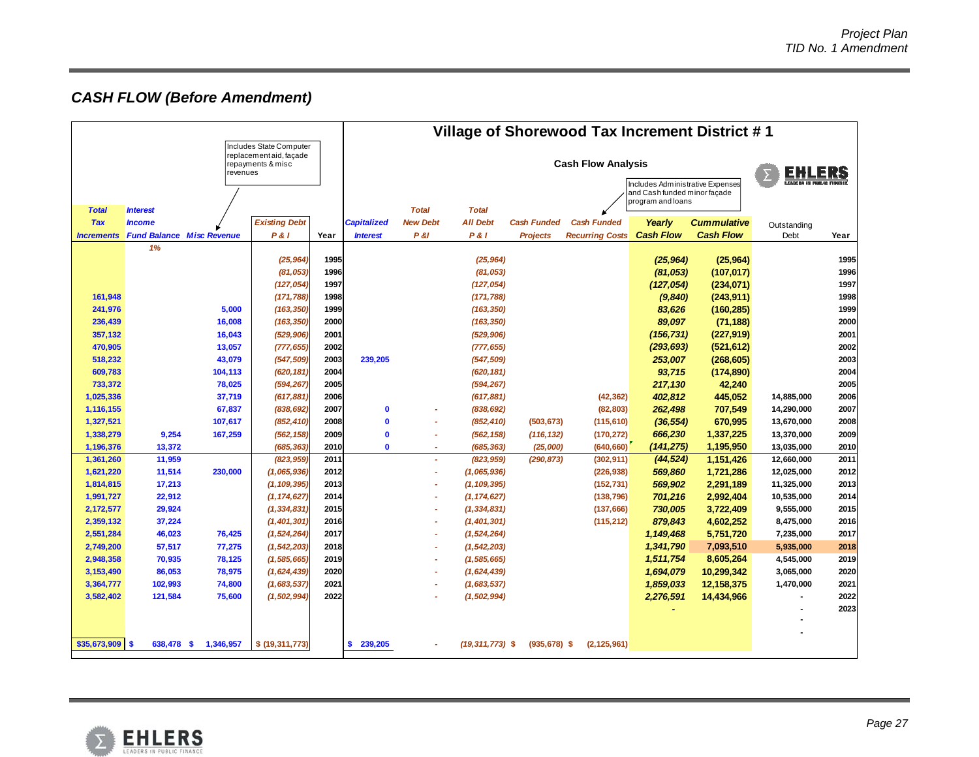# *CASH FLOW (Before Amendment)*

|                                                   |                                  |           |                      |                                                                  | Village of Shorewood Tax Increment District #1    |                          |                     |                    |                        |                  |                                |                     |      |
|---------------------------------------------------|----------------------------------|-----------|----------------------|------------------------------------------------------------------|---------------------------------------------------|--------------------------|---------------------|--------------------|------------------------|------------------|--------------------------------|---------------------|------|
| Includes State Computer<br>replacementaid, façade |                                  |           |                      |                                                                  |                                                   |                          |                     |                    |                        |                  |                                |                     |      |
| repayments & misc<br>revenues                     |                                  |           |                      |                                                                  | <b>Cash Flow Analysis</b><br><b>EHLERS</b>        |                          |                     |                    |                        |                  |                                |                     |      |
|                                                   |                                  |           |                      | Includes Administrative Expenses<br>and Cash funded minor facade |                                                   |                          |                     |                    |                        |                  | <b>FANCER IS FREUD FIRONCE</b> |                     |      |
| <b>Total</b><br><b>Interest</b>                   |                                  |           |                      |                                                                  | program and loans<br><b>Total</b><br><b>Total</b> |                          |                     |                    |                        |                  |                                |                     |      |
| <b>Tax</b>                                        | <b>Income</b>                    |           | <b>Existing Debt</b> |                                                                  | <b>Capitalized</b>                                | <b>New Debt</b>          | <b>All Debt</b>     | <b>Cash Funded</b> | <b>Cash Funded</b>     | Yearly           | <b>Cummulative</b>             |                     |      |
| <b>Increments</b>                                 | <b>Fund Balance Misc Revenue</b> |           | P &                  | Year                                                             | <b>Interest</b>                                   | <b>P &amp;I</b>          | <b>P&amp;I</b>      | <b>Projects</b>    | <b>Recurring Costs</b> | <b>Cash Flow</b> | <b>Cash Flow</b>               | Outstanding<br>Debt | Year |
|                                                   | 1%                               |           |                      |                                                                  |                                                   |                          |                     |                    |                        |                  |                                |                     |      |
|                                                   |                                  |           | (25, 964)            | 1995                                                             |                                                   |                          | (25, 964)           |                    |                        | (25, 964)        | (25,964)                       |                     | 1995 |
|                                                   |                                  |           | (81, 053)            | 1996                                                             |                                                   |                          | (81, 053)           |                    |                        | (81,053)         | (107, 017)                     |                     | 1996 |
|                                                   |                                  |           | (127, 054)           | 1997                                                             |                                                   |                          | (127, 054)          |                    |                        | (127,054)        | (234,071)                      |                     | 1997 |
| 161,948                                           |                                  |           | (171, 788)           | 1998                                                             |                                                   |                          | (171, 788)          |                    |                        | (9, 840)         | (243, 911)                     |                     | 1998 |
| 241,976                                           |                                  | 5,000     | (163, 350)           | 1999                                                             |                                                   |                          | (163, 350)          |                    |                        | 83,626           | (160, 285)                     |                     | 1999 |
| 236,439                                           |                                  | 16,008    | (163, 350)           | 2000                                                             |                                                   |                          | (163, 350)          |                    |                        | 89,097           | (71, 188)                      |                     | 2000 |
| 357,132                                           |                                  | 16,043    | (529, 906)           | 2001                                                             |                                                   |                          | (529, 906)          |                    |                        | (156, 731)       | (227,919)                      |                     | 2001 |
| 470,905                                           |                                  | 13,057    | (777, 655)           | 2002                                                             |                                                   |                          | (777, 655)          |                    |                        | (293, 693)       | (521, 612)                     |                     | 2002 |
| 518,232                                           |                                  | 43,079    | (547, 509)           | 2003                                                             | 239,205                                           |                          | (547, 509)          |                    |                        | 253,007          | (268, 605)                     |                     | 2003 |
| 609,783                                           |                                  | 104,113   | (620, 181)           | 2004                                                             |                                                   |                          | (620, 181)          |                    |                        | 93,715           | (174, 890)                     |                     | 2004 |
| 733,372                                           |                                  | 78,025    | (594, 267)           | 2005                                                             |                                                   |                          | (594, 267)          |                    |                        | 217,130          | 42,240                         |                     | 2005 |
| 1,025,336                                         |                                  | 37,719    | (617, 881)           | 2006                                                             |                                                   |                          | (617, 881)          |                    | (42, 362)              | 402,812          | 445,052                        | 14,885,000          | 2006 |
| 1,116,155                                         |                                  | 67,837    | (838, 692)           | 2007                                                             | $\mathbf 0$                                       | $\tilde{\phantom{a}}$    | (838, 692)          |                    | (82, 803)              | 262,498          | 707,549                        | 14,290,000          | 2007 |
| 1,327,521                                         |                                  | 107,617   | (852, 410)           | 2008                                                             | $\mathbf{0}$                                      | $\tilde{\phantom{a}}$    | (852, 410)          | (503, 673)         | (115, 610)             | (36, 554)        | 670,995                        | 13,670,000          | 2008 |
| 1,338,279                                         | 9,254                            | 167,259   | (562, 158)           | 2009                                                             | $\mathbf{0}$                                      | $\overline{\phantom{a}}$ | (562, 158)          | (116, 132)         | (170, 272)             | 666,230          | 1,337,225                      | 13,370,000          | 2009 |
| 1,196,376                                         | 13,372                           |           | (685, 363)           | 2010                                                             | $\mathbf{0}$                                      | ÷                        | (685, 363)          | (25,000)           | (640, 660)             | (141, 275)       | 1,195,950                      | 13,035,000          | 2010 |
| 1,361,260                                         | 11,959                           |           | (823, 959)           | 2011                                                             |                                                   | ä,                       | (823, 959)          | (290, 873)         | (302, 911)             | (44, 524)        | 1,151,426                      | 12,660,000          | 2011 |
| 1,621,220                                         | 11,514                           | 230,000   | (1,065,936)          | 2012                                                             |                                                   | $\overline{\phantom{a}}$ | (1,065,936)         |                    | (226, 938)             | 569,860          | 1,721,286                      | 12,025,000          | 2012 |
| 1,814,815                                         | 17,213                           |           | (1, 109, 395)        | 2013                                                             |                                                   | ÷                        | (1, 109, 395)       |                    | (152, 731)             | 569,902          | 2,291,189                      | 11,325,000          | 2013 |
| 1,991,727                                         | 22,912                           |           | (1, 174, 627)        | 2014                                                             |                                                   | ٠                        | (1, 174, 627)       |                    | (138, 796)             | 701,216          | 2,992,404                      | 10,535,000          | 2014 |
| 2,172,577                                         | 29,924                           |           | (1, 334, 831)        | 2015                                                             |                                                   | $\overline{\phantom{a}}$ | (1, 334, 831)       |                    | (137, 666)             | 730,005          | 3,722,409                      | 9,555,000           | 2015 |
| 2,359,132                                         | 37,224                           |           | (1, 401, 301)        | 2016                                                             |                                                   | $\tilde{\phantom{a}}$    | (1, 401, 301)       |                    | (115, 212)             | 879,843          | 4,602,252                      | 8,475,000           | 2016 |
| 2,551,284                                         | 46,023                           | 76,425    | (1, 524, 264)        | 2017                                                             |                                                   | $\overline{a}$           | (1, 524, 264)       |                    |                        | 1,149,468        | 5,751,720                      | 7,235,000           | 2017 |
| 2,749,200                                         | 57,517                           | 77,275    | (1, 542, 203)        | 2018                                                             |                                                   | ٠                        | (1, 542, 203)       |                    |                        | 1,341,790        | 7,093,510                      | 5,935,000           | 2018 |
| 2,948,358                                         | 70,935                           | 78,125    | (1, 585, 665)        | 2019                                                             |                                                   |                          | (1, 585, 665)       |                    |                        | 1,511,754        | 8,605,264                      | 4,545,000           | 2019 |
| 3,153,490                                         | 86,053                           | 78,975    | (1,624,439)          | 2020                                                             |                                                   | ÷                        | (1,624,439)         |                    |                        | 1,694,079        | 10,299,342                     | 3,065,000           | 2020 |
| 3,364,777                                         | 102,993                          | 74,800    | (1,683,537)          | 2021                                                             |                                                   |                          | (1,683,537)         |                    |                        | 1,859,033        | 12,158,375                     | 1,470,000           | 2021 |
| 3,582,402                                         | 121,584                          | 75,600    | (1, 502, 994)        | 2022                                                             |                                                   |                          | (1,502,994)         |                    |                        | 2,276,591        | 14,434,966                     |                     | 2022 |
|                                                   |                                  |           |                      |                                                                  |                                                   |                          |                     |                    |                        |                  |                                |                     | 2023 |
|                                                   |                                  |           |                      |                                                                  |                                                   |                          |                     |                    |                        |                  |                                |                     |      |
| \$35,673,909                                      | 638,478 \$<br>S                  | 1,346,957 | \$ (19, 311, 773)    |                                                                  | <b>S</b><br>239,205                               |                          | $(19, 311, 773)$ \$ | $(935, 678)$ \$    | (2, 125, 961)          |                  |                                |                     |      |
|                                                   |                                  |           |                      |                                                                  |                                                   |                          |                     |                    |                        |                  |                                |                     |      |

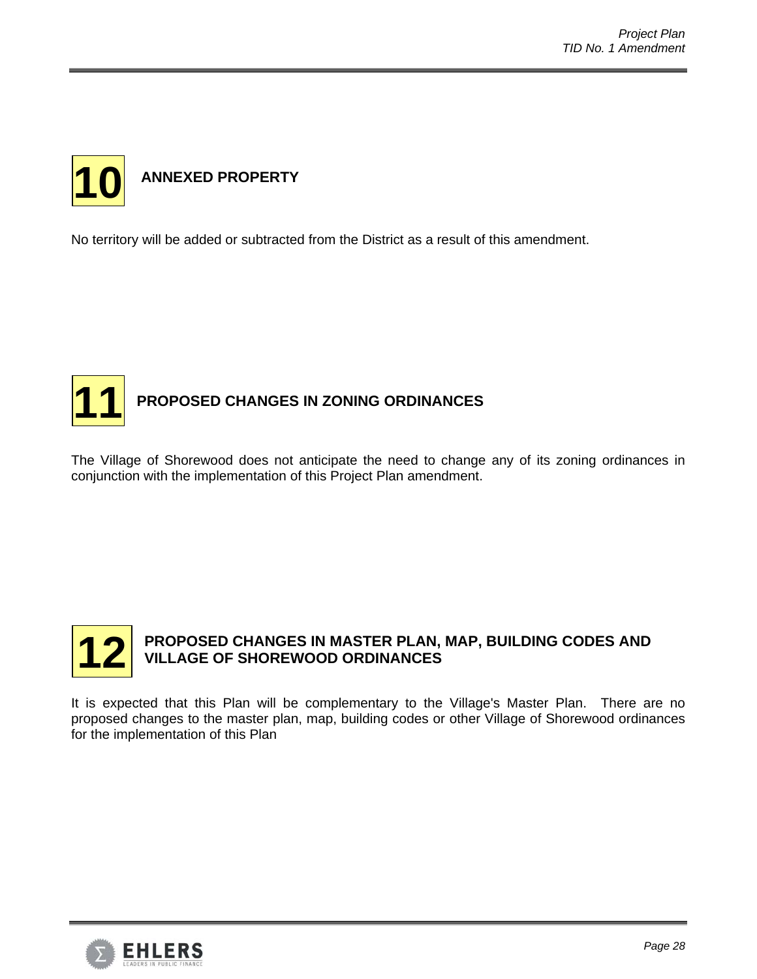

No territory will be added or subtracted from the District as a result of this amendment.



The Village of Shorewood does not anticipate the need to change any of its zoning ordinances in conjunction with the implementation of this Project Plan amendment.



# **PROPOSED CHANGES IN MASTER PLAN, MAP, BUILDING CODES AND VILLAGE OF SHOREWOOD ORDINANCES**

It is expected that this Plan will be complementary to the Village's Master Plan. There are no proposed changes to the master plan, map, building codes or other Village of Shorewood ordinances for the implementation of this Plan

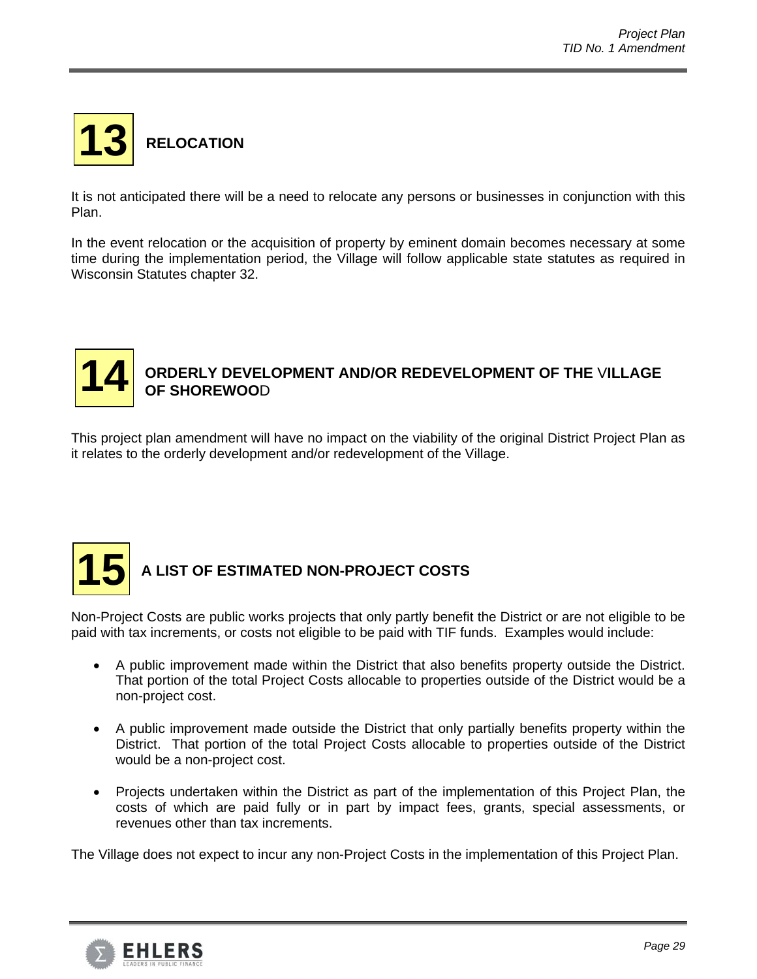

It is not anticipated there will be a need to relocate any persons or businesses in conjunction with this Plan.

In the event relocation or the acquisition of property by eminent domain becomes necessary at some time during the implementation period, the Village will follow applicable state statutes as required in Wisconsin Statutes chapter 32.



This project plan amendment will have no impact on the viability of the original District Project Plan as it relates to the orderly development and/or redevelopment of the Village.



Non-Project Costs are public works projects that only partly benefit the District or are not eligible to be paid with tax increments, or costs not eligible to be paid with TIF funds. Examples would include:

- A public improvement made within the District that also benefits property outside the District. That portion of the total Project Costs allocable to properties outside of the District would be a non-project cost.
- A public improvement made outside the District that only partially benefits property within the District. That portion of the total Project Costs allocable to properties outside of the District would be a non-project cost.
- Projects undertaken within the District as part of the implementation of this Project Plan, the costs of which are paid fully or in part by impact fees, grants, special assessments, or revenues other than tax increments.

The Village does not expect to incur any non-Project Costs in the implementation of this Project Plan.